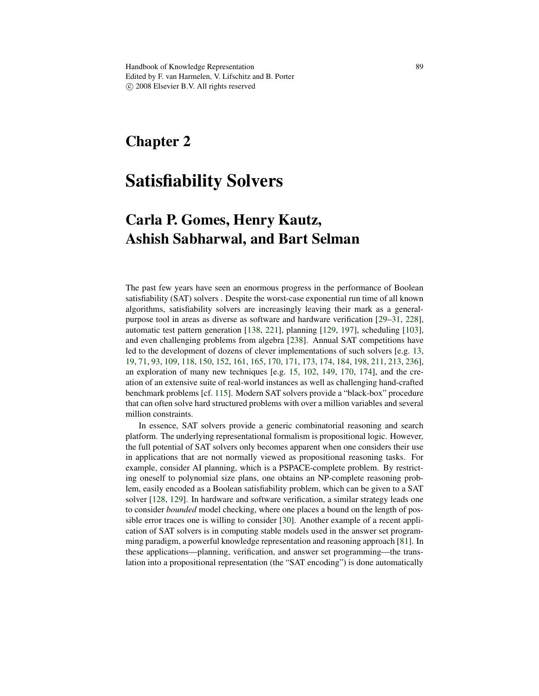## **Chapter 2**

# **Satisfiability Solvers**

## **Carla P. Gomes, Henry Kautz, Ashish Sabharwal, and Bart Selman**

The past few years have seen an enormous progress in the performance of Boolean satisfiability (SAT) solvers . Despite the worst-case exponential run time of all known algorithms, satisfiability solvers are increasingly leaving their mark as a generalpurpose tool in areas as diverse as software and hardware verification [\[29](#page-34-0)[–31](#page-34-1), [228\]](#page-44-0), automatic test pattern generation [\[138,](#page-40-0) [221\]](#page-44-1), planning [\[129,](#page-39-0) [197](#page-43-0)], scheduling [\[103\]](#page-38-0), and even challenging problems from algebra [\[238\]](#page-45-0). Annual SAT competitions have led to the development of dozens of clever implementations of such solvers [e.g. [13,](#page-33-0) [19,](#page-34-2) [71](#page-36-0), [93,](#page-37-0) [109](#page-38-1), [118](#page-39-1), [150,](#page-40-1) [152](#page-40-2), [161,](#page-41-0) [165](#page-41-1), [170,](#page-41-2) [171,](#page-41-3) [173](#page-41-4), [174,](#page-41-5) [184](#page-42-0), [198,](#page-43-1) [211](#page-43-2), [213](#page-43-3), [236\]](#page-45-1), an exploration of many new techniques [e.g. [15](#page-33-1), [102,](#page-38-2) [149,](#page-40-3) [170,](#page-41-2) [174](#page-41-5)], and the creation of an extensive suite of real-world instances as well as challenging hand-crafted benchmark problems [cf. [115](#page-39-2)]. Modern SAT solvers provide a "black-box" procedure that can often solve hard structured problems with over a million variables and several million constraints.

In essence, SAT solvers provide a generic combinatorial reasoning and search platform. The underlying representational formalism is propositional logic. However, the full potential of SAT solvers only becomes apparent when one considers their use in applications that are not normally viewed as propositional reasoning tasks. For example, consider AI planning, which is a PSPACE-complete problem. By restricting oneself to polynomial size plans, one obtains an NP-complete reasoning problem, easily encoded as a Boolean satisfiability problem, which can be given to a SAT solver [\[128,](#page-39-3) [129](#page-39-0)]. In hardware and software verification, a similar strategy leads one to consider *bounded* model checking, where one places a bound on the length of possible error traces one is willing to consider [\[30\]](#page-34-3). Another example of a recent application of SAT solvers is in computing stable models used in the answer set programming paradigm, a powerful knowledge representation and reasoning approach [\[81](#page-37-1)]. In these applications—planning, verification, and answer set programming—the translation into a propositional representation (the "SAT encoding") is done automatically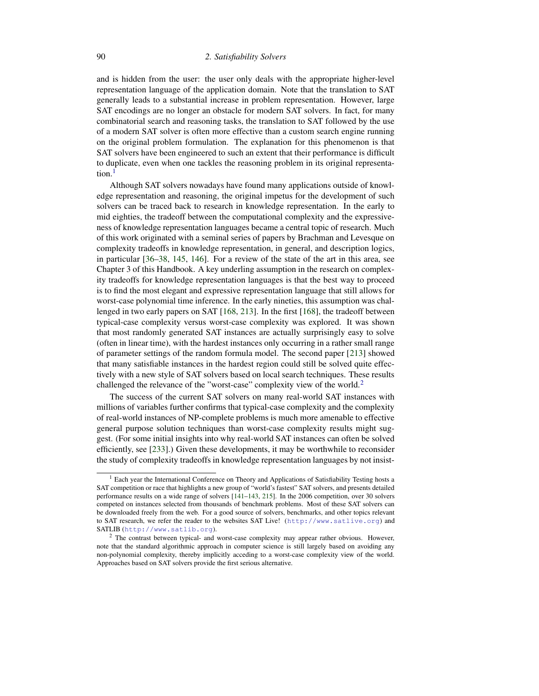and is hidden from the user: the user only deals with the appropriate higher-level representation language of the application domain. Note that the translation to SAT generally leads to a substantial increase in problem representation. However, large SAT encodings are no longer an obstacle for modern SAT solvers. In fact, for many combinatorial search and reasoning tasks, the translation to SAT followed by the use of a modern SAT solver is often more effective than a custom search engine running on the original problem formulation. The explanation for this phenomenon is that SAT solvers have been engineered to such an extent that their performance is difficult to duplicate, even when one tackles the reasoning problem in its original representa-tion.<sup>[1](#page-1-0)</sup>

Although SAT solvers nowadays have found many applications outside of knowledge representation and reasoning, the original impetus for the development of such solvers can be traced back to research in knowledge representation. In the early to mid eighties, the tradeoff between the computational complexity and the expressiveness of knowledge representation languages became a central topic of research. Much of this work originated with a seminal series of papers by Brachman and Levesque on complexity tradeoffs in knowledge representation, in general, and description logics, in particular [\[36](#page-35-0)[–38](#page-35-1), [145,](#page-40-4) [146\]](#page-40-5). For a review of the state of the art in this area, see Chapter 3 of this Handbook. A key underling assumption in the research on complexity tradeoffs for knowledge representation languages is that the best way to proceed is to find the most elegant and expressive representation language that still allows for worst-case polynomial time inference. In the early nineties, this assumption was challenged in two early papers on SAT [\[168](#page-41-6), [213](#page-43-3)]. In the first [\[168\]](#page-41-6), the tradeoff between typical-case complexity versus worst-case complexity was explored. It was shown that most randomly generated SAT instances are actually surprisingly easy to solve (often in linear time), with the hardest instances only occurring in a rather small range of parameter settings of the random formula model. The second paper [\[213](#page-43-3)] showed that many satisfiable instances in the hardest region could still be solved quite effectively with a new style of SAT solvers based on local search techniques. These results challenged the relevance of the "worst-case" complexity view of the world.<sup>[2](#page-1-1)</sup>

The success of the current SAT solvers on many real-world SAT instances with millions of variables further confirms that typical-case complexity and the complexity of real-world instances of NP-complete problems is much more amenable to effective general purpose solution techniques than worst-case complexity results might suggest. (For some initial insights into why real-world SAT instances can often be solved efficiently, see [\[233\]](#page-44-2).) Given these developments, it may be worthwhile to reconsider the study of complexity tradeoffs in knowledge representation languages by not insist-

<span id="page-1-0"></span><sup>&</sup>lt;sup>1</sup> Each year the International Conference on Theory and Applications of Satisfiability Testing hosts a SAT competition or race that highlights a new group of "world's fastest" SAT solvers, and presents detailed performance results on a wide range of solvers [\[141](#page-40-6)[–143,](#page-40-7) [215\]](#page-44-3). In the 2006 competition, over 30 solvers competed on instances selected from thousands of benchmark problems. Most of these SAT solvers can be downloaded freely from the web. For a good source of solvers, benchmarks, and other topics relevant to SAT research, we refer the reader to the websites SAT Live! (<http://www.satlive.org>) and SATLIB (<http://www.satlib.org>).

<span id="page-1-1"></span><sup>&</sup>lt;sup>2</sup> The contrast between typical- and worst-case complexity may appear rather obvious. However, note that the standard algorithmic approach in computer science is still largely based on avoiding any non-polynomial complexity, thereby implicitly acceding to a worst-case complexity view of the world. Approaches based on SAT solvers provide the first serious alternative.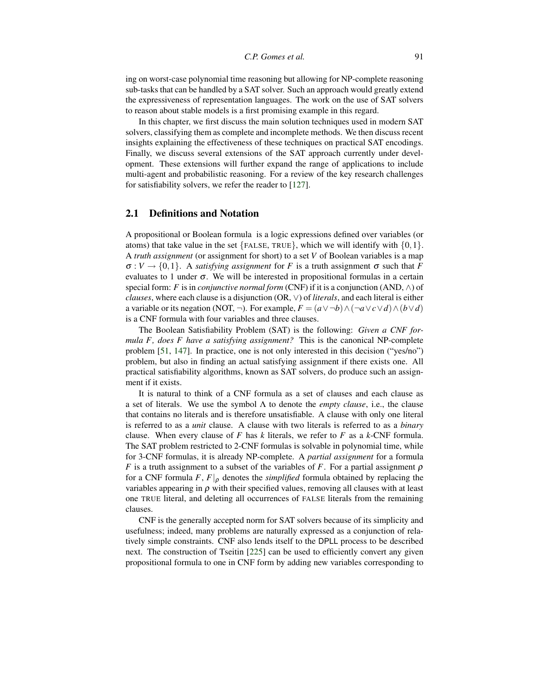ing on worst-case polynomial time reasoning but allowing for NP-complete reasoning sub-tasks that can be handled by a SAT solver. Such an approach would greatly extend the expressiveness of representation languages. The work on the use of SAT solvers to reason about stable models is a first promising example in this regard.

In this chapter, we first discuss the main solution techniques used in modern SAT solvers, classifying them as complete and incomplete methods. We then discuss recent insights explaining the effectiveness of these techniques on practical SAT encodings. Finally, we discuss several extensions of the SAT approach currently under development. These extensions will further expand the range of applications to include multi-agent and probabilistic reasoning. For a review of the key research challenges for satisfiability solvers, we refer the reader to [\[127](#page-39-4)].

## **2.1 Definitions and Notation**

A propositional or Boolean formula is a logic expressions defined over variables (or atoms) that take value in the set {FALSE, TRUE}, which we will identify with  $\{0,1\}$ . A *truth assignment* (or assignment for short) to a set *V* of Boolean variables is a map  $\sigma: V \to \{0,1\}$ . A *satisfying assignment* for *F* is a truth assignment  $\sigma$  such that *F* evaluates to 1 under  $\sigma$ . We will be interested in propositional formulas in a certain special form: *F* is in *conjunctive normal form* (CNF) if it is a conjunction (AND,  $\wedge$ ) of *clauses*, where each clause is a disjunction (OR, ∨) of *literals*, and each literal is either a variable or its negation (NOT,  $\neg$ ). For example,  $F = (a \lor \neg b) \land (\neg a \lor c \lor d) \land (b \lor d)$ is a CNF formula with four variables and three clauses.

The Boolean Satisfiability Problem (SAT) is the following: *Given a CNF formula F, does F have a satisfying assignment?* This is the canonical NP-complete problem [\[51](#page-35-2), [147\]](#page-40-8). In practice, one is not only interested in this decision ("yes/no") problem, but also in finding an actual satisfying assignment if there exists one. All practical satisfiability algorithms, known as SAT solvers, do produce such an assignment if it exists.

It is natural to think of a CNF formula as a set of clauses and each clause as a set of literals. We use the symbol Λ to denote the *empty clause*, i.e., the clause that contains no literals and is therefore unsatisfiable. A clause with only one literal is referred to as a *unit* clause. A clause with two literals is referred to as a *binary* clause. When every clause of *F* has *k* literals, we refer to *F* as a *k*-CNF formula. The SAT problem restricted to 2-CNF formulas is solvable in polynomial time, while for 3-CNF formulas, it is already NP-complete. A *partial assignment* for a formula *F* is a truth assignment to a subset of the variables of *F*. For a partial assignment  $\rho$ for a CNF formula *F*,  $F|_{\rho}$  denotes the *simplified* formula obtained by replacing the variables appearing in  $\rho$  with their specified values, removing all clauses with at least one TRUE literal, and deleting all occurrences of FALSE literals from the remaining clauses.

CNF is the generally accepted norm for SAT solvers because of its simplicity and usefulness; indeed, many problems are naturally expressed as a conjunction of relatively simple constraints. CNF also lends itself to the DPLL process to be described next. The construction of Tseitin [\[225\]](#page-44-4) can be used to efficiently convert any given propositional formula to one in CNF form by adding new variables corresponding to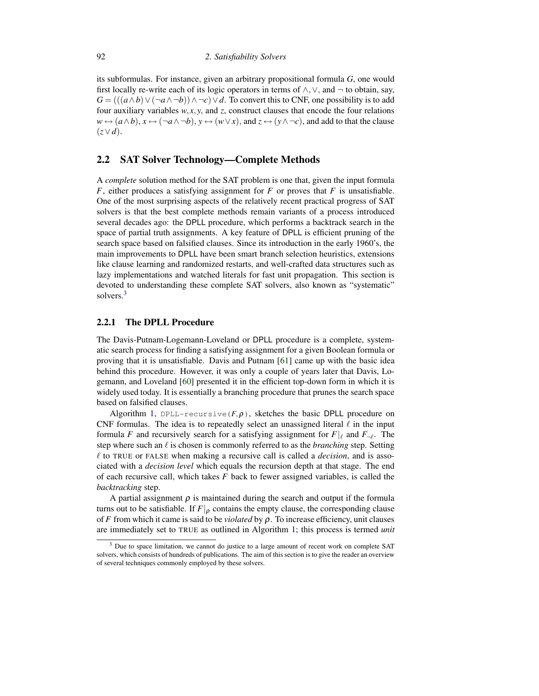its subformulas. For instance, given an arbitrary propositional formula *G*, one would first locally re-write each of its logic operators in terms of  $\wedge$ ,  $\vee$ , and  $\neg$  to obtain, say,  $G = (((a \wedge b) \vee (\neg a \wedge \neg b)) \wedge \neg c) \vee d$ . To convert this to CNF, one possibility is to add four auxiliary variables  $w, x, y$ , and  $z$ , construct clauses that encode the four relations  $w \leftrightarrow (a \land b)$ ,  $x \leftrightarrow (\neg a \land \neg b)$ ,  $y \leftrightarrow (w \lor x)$ , and  $z \leftrightarrow (y \land \neg c)$ , and add to that the clause (*z*∨*d*).

## **2.2 SAT Solver Technology—Complete Methods**

A *complete* solution method for the SAT problem is one that, given the input formula *F*, either produces a satisfying assignment for *F* or proves that *F* is unsatisfiable. One of the most surprising aspects of the relatively recent practical progress of SAT solvers is that the best complete methods remain variants of a process introduced several decades ago: the DPLL procedure, which performs a backtrack search in the space of partial truth assignments. A key feature of DPLL is efficient pruning of the search space based on falsified clauses. Since its introduction in the early 1960's, the main improvements to DPLL have been smart branch selection heuristics, extensions like clause learning and randomized restarts, and well-crafted data structures such as lazy implementations and watched literals for fast unit propagation. This section is devoted to understanding these complete SAT solvers, also known as "systematic" solvers.[3](#page-3-0)

## **2.2.1 The DPLL Procedure**

The Davis-Putnam-Logemann-Loveland or DPLL procedure is a complete, systematic search process for finding a satisfying assignment for a given Boolean formula or proving that it is unsatisfiable. Davis and Putnam [\[61](#page-36-1)] came up with the basic idea behind this procedure. However, it was only a couple of years later that Davis, Logemann, and Loveland [\[60](#page-36-2)] presented it in the efficient top-down form in which it is widely used today. It is essentially a branching procedure that prunes the search space based on falsified clauses.

Algorithm [1,](#page-3-1) DPLL-recursive( $F, \rho$ ), sketches the basic DPLL procedure on CNF formulas. The idea is to repeatedly select an unassigned literal  $\ell$  in the input formula *F* and recursively search for a satisfying assignment for  $F|_{\ell}$  and  $F_{\neg \ell}$ . The step where such an  $\ell$  is chosen is commonly referred to as the *branching* step. Setting  $\ell$  to TRUE or FALSE when making a recursive call is called a *decision*, and is associated with a *decision level* which equals the recursion depth at that stage. The end of each recursive call, which takes *F* back to fewer assigned variables, is called the *backtracking* step.

<span id="page-3-1"></span>A partial assignment  $\rho$  is maintained during the search and output if the formula turns out to be satisfiable. If  $F|_{\rho}$  contains the empty clause, the corresponding clause of *F* from which it came is said to be *violated* by  $\rho$ . To increase efficiency, unit clauses are immediately set to TRUE as outlined in Algorithm [1;](#page-3-1) this process is termed *unit*

<span id="page-3-0"></span> $3$  Due to space limitation, we cannot do justice to a large amount of recent work on complete SAT solvers, which consists of hundreds of publications. The aim of this section is to give the reader an overview of several techniques commonly employed by these solvers.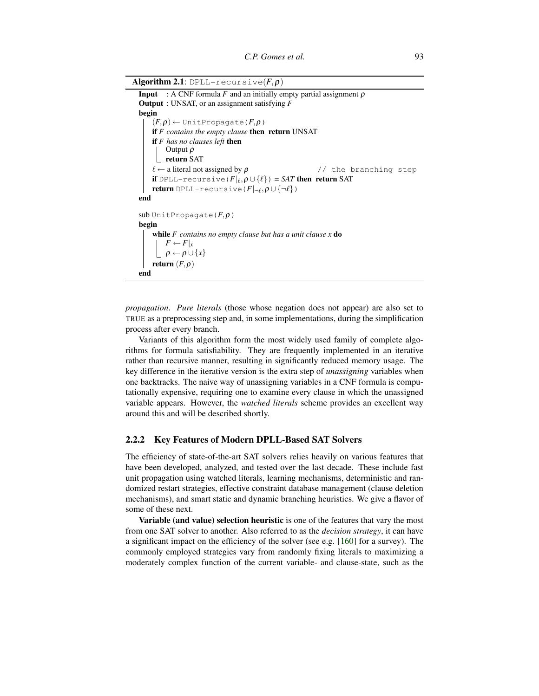**Algorithm 2.1**: <code>DPLL-recursive( $F, \rho$ )</code>

```
Input : A CNF formula F and an initially empty partial assignment \rhoOutput : UNSAT, or an assignment satisfying F
begin
    (F, \rho) \leftarrow UnitPropagate(F, \rho)
    if F contains the empty clause then return UNSAT
    if F has no clauses left then
        Output \rhoreturn SAT
    \ell \leftarrow a literal not assigned by \rho // the branching step
    if DPLL-recursive(F|_{\ell}, \rho \cup \{\ell\}) = SAT then  return SAT
    return DPLL-recursive(F|_{\neg \ell}, \rho \cup \{\neg \ell\})
end
sub UnitPropagate(F,ρ)
begin
    while F contains no empty clause but has a unit clause x do
        F \leftarrow F|_{x}\rho \leftarrow \rho \cup \{x\}return (F, \rho)end
```
*propagation*. *Pure literals* (those whose negation does not appear) are also set to TRUE as a preprocessing step and, in some implementations, during the simplification process after every branch.

Variants of this algorithm form the most widely used family of complete algorithms for formula satisfiability. They are frequently implemented in an iterative rather than recursive manner, resulting in significantly reduced memory usage. The key difference in the iterative version is the extra step of *unassigning* variables when one backtracks. The naive way of unassigning variables in a CNF formula is computationally expensive, requiring one to examine every clause in which the unassigned variable appears. However, the *watched literals* scheme provides an excellent way around this and will be described shortly.

#### **2.2.2 Key Features of Modern DPLL-Based SAT Solvers**

The efficiency of state-of-the-art SAT solvers relies heavily on various features that have been developed, analyzed, and tested over the last decade. These include fast unit propagation using watched literals, learning mechanisms, deterministic and randomized restart strategies, effective constraint database management (clause deletion mechanisms), and smart static and dynamic branching heuristics. We give a flavor of some of these next.

**Variable (and value) selection heuristic** is one of the features that vary the most from one SAT solver to another. Also referred to as the *decision strategy*, it can have a significant impact on the efficiency of the solver (see e.g. [\[160\]](#page-41-7) for a survey). The commonly employed strategies vary from randomly fixing literals to maximizing a moderately complex function of the current variable- and clause-state, such as the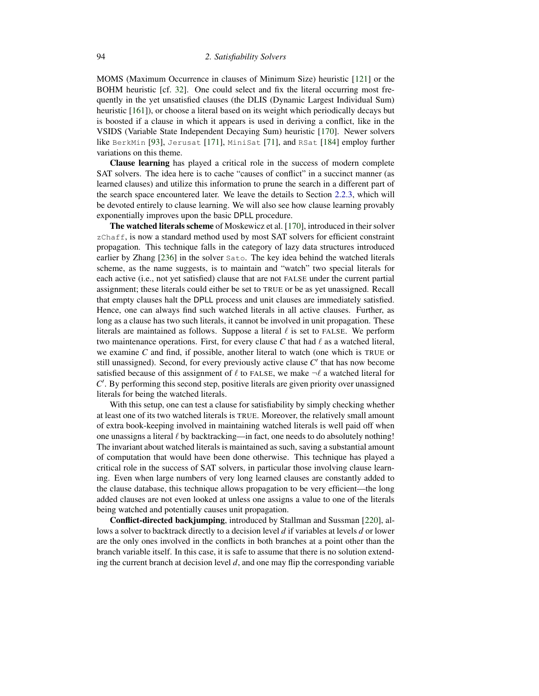MOMS (Maximum Occurrence in clauses of Minimum Size) heuristic [\[121](#page-39-5)] or the BOHM heuristic [cf. [32\]](#page-34-4). One could select and fix the literal occurring most frequently in the yet unsatisfied clauses (the DLIS (Dynamic Largest Individual Sum) heuristic [\[161\]](#page-41-0)), or choose a literal based on its weight which periodically decays but is boosted if a clause in which it appears is used in deriving a conflict, like in the VSIDS (Variable State Independent Decaying Sum) heuristic [\[170\]](#page-41-2). Newer solvers like BerkMin [\[93\]](#page-37-0), Jerusat [\[171\]](#page-41-3), MiniSat [\[71\]](#page-36-0), and RSat [\[184](#page-42-0)] employ further variations on this theme.

**Clause learning** has played a critical role in the success of modern complete SAT solvers. The idea here is to cache "causes of conflict" in a succinct manner (as learned clauses) and utilize this information to prune the search in a different part of the search space encountered later. We leave the details to Section [2.2.3,](#page-6-0) which will be devoted entirely to clause learning. We will also see how clause learning provably exponentially improves upon the basic DPLL procedure.

**The watched literals scheme** of Moskewicz et al. [\[170\]](#page-41-2), introduced in their solver zChaff, is now a standard method used by most SAT solvers for efficient constraint propagation. This technique falls in the category of lazy data structures introduced earlier by Zhang [\[236\]](#page-45-1) in the solver Sato. The key idea behind the watched literals scheme, as the name suggests, is to maintain and "watch" two special literals for each active (i.e., not yet satisfied) clause that are not FALSE under the current partial assignment; these literals could either be set to TRUE or be as yet unassigned. Recall that empty clauses halt the DPLL process and unit clauses are immediately satisfied. Hence, one can always find such watched literals in all active clauses. Further, as long as a clause has two such literals, it cannot be involved in unit propagation. These literals are maintained as follows. Suppose a literal  $\ell$  is set to FALSE. We perform two maintenance operations. First, for every clause  $C$  that had  $\ell$  as a watched literal, we examine *C* and find, if possible, another literal to watch (one which is TRUE or still unassigned). Second, for every previously active clause  $C'$  that has now become satisfied because of this assignment of  $\ell$  to FALSE, we make  $\neg \ell$  a watched literal for  $C'$ . By performing this second step, positive literals are given priority over unassigned literals for being the watched literals.

With this setup, one can test a clause for satisfiability by simply checking whether at least one of its two watched literals is TRUE. Moreover, the relatively small amount of extra book-keeping involved in maintaining watched literals is well paid off when one unassigns a literal  $\ell$  by backtracking—in fact, one needs to do absolutely nothing! The invariant about watched literals is maintained as such, saving a substantial amount of computation that would have been done otherwise. This technique has played a critical role in the success of SAT solvers, in particular those involving clause learning. Even when large numbers of very long learned clauses are constantly added to the clause database, this technique allows propagation to be very efficient—the long added clauses are not even looked at unless one assigns a value to one of the literals being watched and potentially causes unit propagation.

**Conflict-directed backjumping**, introduced by Stallman and Sussman [\[220\]](#page-44-5), allows a solver to backtrack directly to a decision level *d* if variables at levels *d* or lower are the only ones involved in the conflicts in both branches at a point other than the branch variable itself. In this case, it is safe to assume that there is no solution extending the current branch at decision level *d*, and one may flip the corresponding variable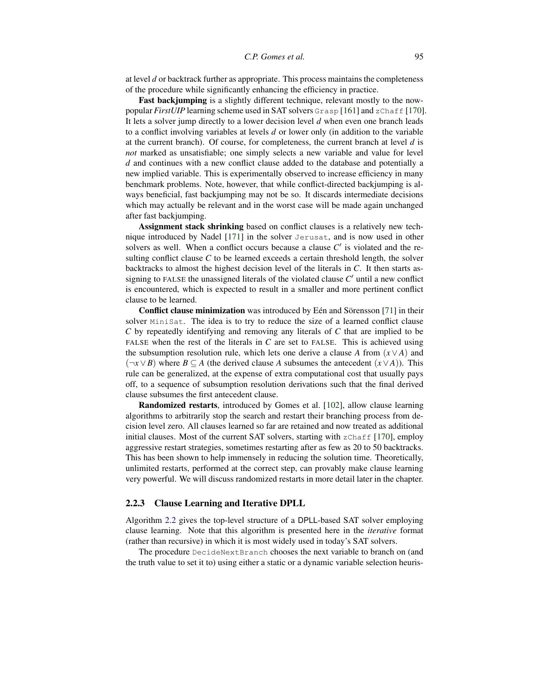at level *d* or backtrack further as appropriate. This process maintains the completeness of the procedure while significantly enhancing the efficiency in practice.

**Fast backjumping** is a slightly different technique, relevant mostly to the nowpopular *FirstUIP* learning scheme used in SAT solvers Grasp [\[161](#page-41-0)] and zChaff [\[170](#page-41-2)]. It lets a solver jump directly to a lower decision level *d* when even one branch leads to a conflict involving variables at levels *d* or lower only (in addition to the variable at the current branch). Of course, for completeness, the current branch at level *d* is *not* marked as unsatisfiable; one simply selects a new variable and value for level *d* and continues with a new conflict clause added to the database and potentially a new implied variable. This is experimentally observed to increase efficiency in many benchmark problems. Note, however, that while conflict-directed backjumping is always beneficial, fast backjumping may not be so. It discards intermediate decisions which may actually be relevant and in the worst case will be made again unchanged after fast backjumping.

**Assignment stack shrinking** based on conflict clauses is a relatively new technique introduced by Nadel [\[171\]](#page-41-3) in the solver Jerusat, and is now used in other solvers as well. When a conflict occurs because a clause  $C'$  is violated and the resulting conflict clause *C* to be learned exceeds a certain threshold length, the solver backtracks to almost the highest decision level of the literals in *C*. It then starts assigning to FALSE the unassigned literals of the violated clause  $C'$  until a new conflict is encountered, which is expected to result in a smaller and more pertinent conflict clause to be learned.

**Conflict clause minimization** was introduced by Een and Sorensson [\[71](#page-36-0)] in their solver MiniSat. The idea is to try to reduce the size of a learned conflict clause *C* by repeatedly identifying and removing any literals of *C* that are implied to be FALSE when the rest of the literals in  $C$  are set to FALSE. This is achieved using the subsumption resolution rule, which lets one derive a clause *A* from  $(x \vee A)$  and  $(\neg x \lor B)$  where *B* ⊆ *A* (the derived clause *A* subsumes the antecedent  $(x \lor A)$ ). This rule can be generalized, at the expense of extra computational cost that usually pays off, to a sequence of subsumption resolution derivations such that the final derived clause subsumes the first antecedent clause.

**Randomized restarts**, introduced by Gomes et al. [\[102\]](#page-38-2), allow clause learning algorithms to arbitrarily stop the search and restart their branching process from decision level zero. All clauses learned so far are retained and now treated as additional initial clauses. Most of the current SAT solvers, starting with  $z$ Chaff [\[170](#page-41-2)], employ aggressive restart strategies, sometimes restarting after as few as 20 to 50 backtracks. This has been shown to help immensely in reducing the solution time. Theoretically, unlimited restarts, performed at the correct step, can provably make clause learning very powerful. We will discuss randomized restarts in more detail later in the chapter.

#### <span id="page-6-0"></span>**2.2.3 Clause Learning and Iterative DPLL**

Algorithm [2.2](#page-6-1) gives the top-level structure of a DPLL-based SAT solver employing clause learning. Note that this algorithm is presented here in the *iterative* format (rather than recursive) in which it is most widely used in today's SAT solvers.

<span id="page-6-1"></span>The procedure DecideNextBranch chooses the next variable to branch on (and the truth value to set it to) using either a static or a dynamic variable selection heuris-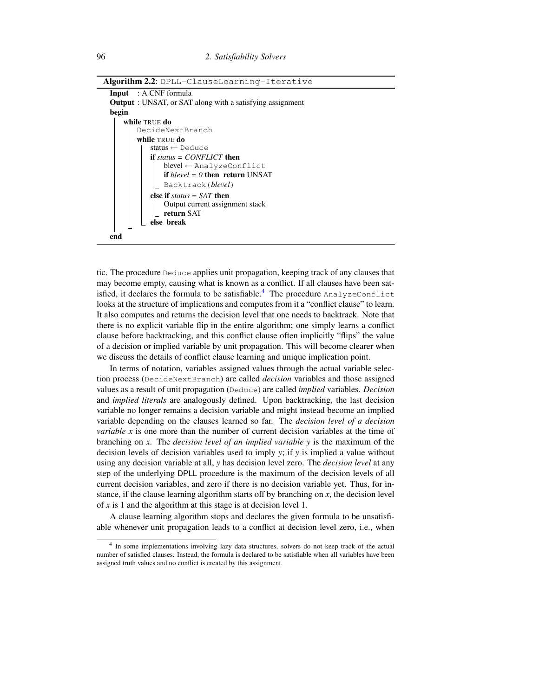**Algorithm 2.2**: DPLL-ClauseLearning-Iterative



tic. The procedure Deduce applies unit propagation, keeping track of any clauses that may become empty, causing what is known as a conflict. If all clauses have been sat-isfied, it declares the formula to be satisfiable.<sup>[4](#page-7-0)</sup> The procedure  $Analyized$ looks at the structure of implications and computes from it a "conflict clause" to learn. It also computes and returns the decision level that one needs to backtrack. Note that there is no explicit variable flip in the entire algorithm; one simply learns a conflict clause before backtracking, and this conflict clause often implicitly "flips" the value of a decision or implied variable by unit propagation. This will become clearer when we discuss the details of conflict clause learning and unique implication point.

In terms of notation, variables assigned values through the actual variable selection process (DecideNextBranch) are called *decision* variables and those assigned values as a result of unit propagation (Deduce) are called *implied* variables. *Decision* and *implied literals* are analogously defined. Upon backtracking, the last decision variable no longer remains a decision variable and might instead become an implied variable depending on the clauses learned so far. The *decision level of a decision variable x* is one more than the number of current decision variables at the time of branching on *x*. The *decision level of an implied variable y* is the maximum of the decision levels of decision variables used to imply *y*; if *y* is implied a value without using any decision variable at all, *y* has decision level zero. The *decision level* at any step of the underlying DPLL procedure is the maximum of the decision levels of all current decision variables, and zero if there is no decision variable yet. Thus, for instance, if the clause learning algorithm starts off by branching on *x*, the decision level of *x* is 1 and the algorithm at this stage is at decision level 1.

A clause learning algorithm stops and declares the given formula to be unsatisfiable whenever unit propagation leads to a conflict at decision level zero, i.e., when

<span id="page-7-0"></span><sup>4</sup> In some implementations involving lazy data structures, solvers do not keep track of the actual number of satisfied clauses. Instead, the formula is declared to be satisfiable when all variables have been assigned truth values and no conflict is created by this assignment.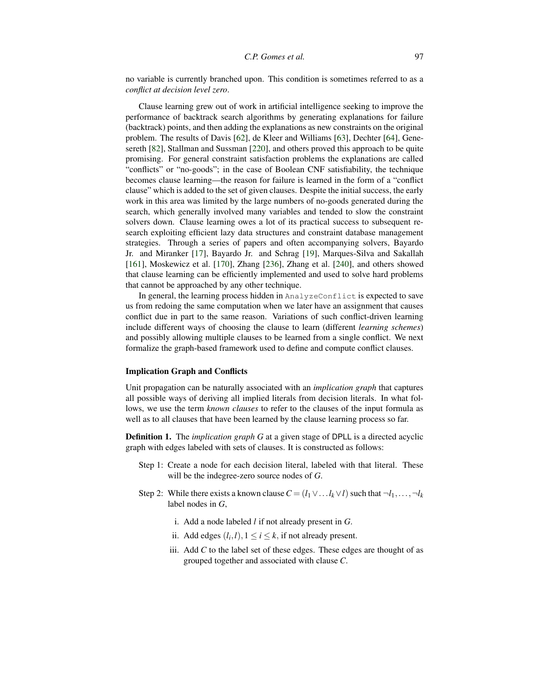no variable is currently branched upon. This condition is sometimes referred to as a *conflict at decision level zero*.

Clause learning grew out of work in artificial intelligence seeking to improve the performance of backtrack search algorithms by generating explanations for failure (backtrack) points, and then adding the explanations as new constraints on the original problem. The results of Davis [\[62\]](#page-36-3), de Kleer and Williams [\[63\]](#page-36-4), Dechter [\[64\]](#page-36-5), Genesereth [\[82](#page-37-2)], Stallman and Sussman [\[220\]](#page-44-5), and others proved this approach to be quite promising. For general constraint satisfaction problems the explanations are called "conflicts" or "no-goods"; in the case of Boolean CNF satisfiability, the technique becomes clause learning—the reason for failure is learned in the form of a "conflict clause" which is added to the set of given clauses. Despite the initial success, the early work in this area was limited by the large numbers of no-goods generated during the search, which generally involved many variables and tended to slow the constraint solvers down. Clause learning owes a lot of its practical success to subsequent research exploiting efficient lazy data structures and constraint database management strategies. Through a series of papers and often accompanying solvers, Bayardo Jr. and Miranker [\[17](#page-34-5)], Bayardo Jr. and Schrag [\[19](#page-34-2)], Marques-Silva and Sakallah [\[161\]](#page-41-0), Moskewicz et al. [\[170\]](#page-41-2), Zhang [\[236\]](#page-45-1), Zhang et al. [\[240\]](#page-45-2), and others showed that clause learning can be efficiently implemented and used to solve hard problems that cannot be approached by any other technique.

In general, the learning process hidden in AnalyzeConflict is expected to save us from redoing the same computation when we later have an assignment that causes conflict due in part to the same reason. Variations of such conflict-driven learning include different ways of choosing the clause to learn (different *learning schemes*) and possibly allowing multiple clauses to be learned from a single conflict. We next formalize the graph-based framework used to define and compute conflict clauses.

#### **Implication Graph and Conflicts**

Unit propagation can be naturally associated with an *implication graph* that captures all possible ways of deriving all implied literals from decision literals. In what follows, we use the term *known clauses* to refer to the clauses of the input formula as well as to all clauses that have been learned by the clause learning process so far.

**Definition 1.** The *implication graph G* at a given stage of DPLL is a directed acyclic graph with edges labeled with sets of clauses. It is constructed as follows:

- Step 1: Create a node for each decision literal, labeled with that literal. These will be the indegree-zero source nodes of *G*.
- Step 2: While there exists a known clause  $C = (l_1 \vee \ldots l_k \vee l)$  such that  $\neg l_1, \ldots, \neg l_k$ label nodes in *G*,
	- i. Add a node labeled *l* if not already present in *G*.
	- ii. Add edges  $(l_i, l), 1 \le i \le k$ , if not already present.
	- iii. Add *C* to the label set of these edges. These edges are thought of as grouped together and associated with clause *C*.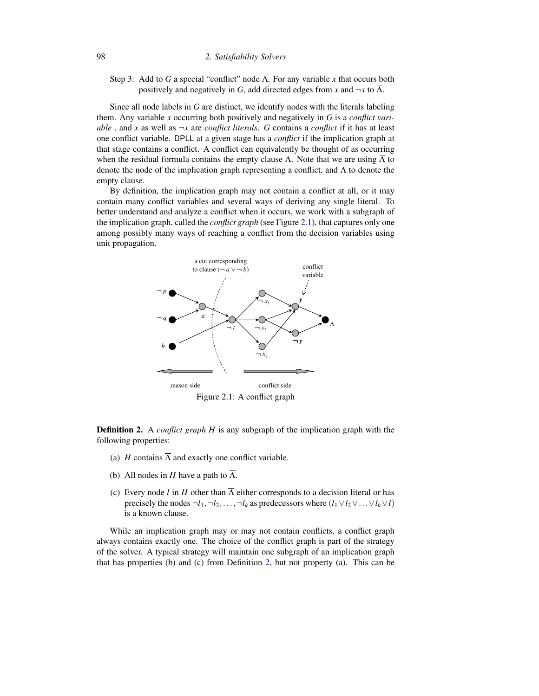Step 3: Add to G a special "conflict" node  $\overline{\Lambda}$ . For any variable x that occurs both positively and negatively in *G*, add directed edges from *x* and  $\neg x$  to  $\overline{\Lambda}$ .

Since all node labels in *G* are distinct, we identify nodes with the literals labeling them. Any variable *x* occurring both positively and negatively in *G* is a *conflict variable*, and *x* as well as  $\neg x$  are *conflict literals*. *G* contains a *conflict* if it has at least one conflict variable. DPLL at a given stage has a *conflict* if the implication graph at that stage contains a conflict. A conflict can equivalently be thought of as occurring when the residual formula contains the empty clause Λ. Note that we are using  $\overline{\Lambda}$  to denote the node of the implication graph representing a conflict, and Λ to denote the empty clause.

By definition, the implication graph may not contain a conflict at all, or it may contain many conflict variables and several ways of deriving any single literal. To better understand and analyze a conflict when it occurs, we work with a subgraph of the implication graph, called the *conflict graph* (see Figure [2.1\)](#page-9-0), that captures only one among possibly many ways of reaching a conflict from the decision variables using unit propagation.



<span id="page-9-0"></span>Figure 2.1: A conflict graph

<span id="page-9-1"></span>**Definition 2.** A *conflict graph H* is any subgraph of the implication graph with the following properties:

- (a) *H* contains  $\overline{\Lambda}$  and exactly one conflict variable.
- (b) All nodes in *H* have a path to  $\overline{\Lambda}$ .
- (c) Every node  $l$  in  $H$  other than  $\overline{\Lambda}$  either corresponds to a decision literal or has precisely the nodes  $\neg l_1, \neg l_2, \ldots, \neg l_k$  as predecessors where  $(l_1 \lor l_2 \lor \ldots \lor l_k \lor l)$ is a known clause.

While an implication graph may or may not contain conflicts, a conflict graph always contains exactly one. The choice of the conflict graph is part of the strategy of the solver. A typical strategy will maintain one subgraph of an implication graph that has properties (b) and (c) from Definition [2,](#page-9-1) but not property (a). This can be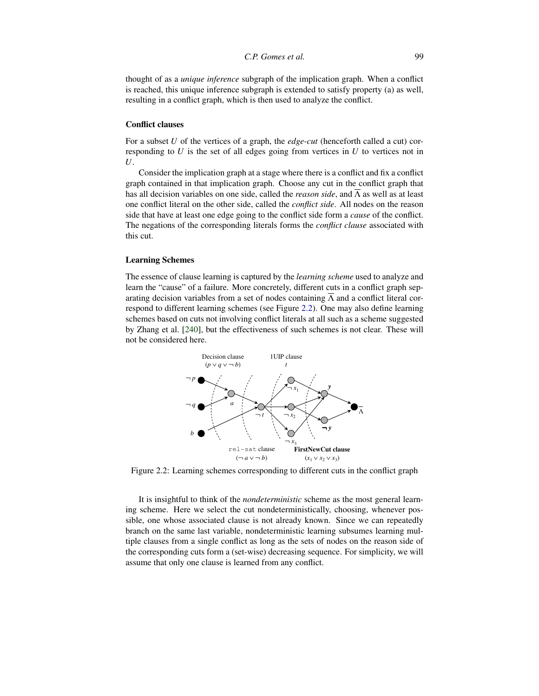thought of as a *unique inference* subgraph of the implication graph. When a conflict is reached, this unique inference subgraph is extended to satisfy property (a) as well, resulting in a conflict graph, which is then used to analyze the conflict.

#### **Conflict clauses**

For a subset *U* of the vertices of a graph, the *edge-cut* (henceforth called a cut) corresponding to *U* is the set of all edges going from vertices in *U* to vertices not in *U*.

Consider the implication graph at a stage where there is a conflict and fix a conflict graph contained in that implication graph. Choose any cut in the conflict graph that has all decision variables on one side, called the *reason side*, and  $\overline{\Lambda}$  as well as at least one conflict literal on the other side, called the *conflict side*. All nodes on the reason side that have at least one edge going to the conflict side form a *cause* of the conflict. The negations of the corresponding literals forms the *conflict clause* associated with this cut.

## **Learning Schemes**

The essence of clause learning is captured by the *learning scheme* used to analyze and learn the "cause" of a failure. More concretely, different cuts in a conflict graph separating decision variables from a set of nodes containing  $\overline{\Lambda}$  and a conflict literal correspond to different learning schemes (see Figure [2.2\)](#page-10-0). One may also define learning schemes based on cuts not involving conflict literals at all such as a scheme suggested by Zhang et al. [\[240](#page-45-2)], but the effectiveness of such schemes is not clear. These will not be considered here.



<span id="page-10-0"></span>Figure 2.2: Learning schemes corresponding to different cuts in the conflict graph

It is insightful to think of the *nondeterministic* scheme as the most general learning scheme. Here we select the cut nondeterministically, choosing, whenever possible, one whose associated clause is not already known. Since we can repeatedly branch on the same last variable, nondeterministic learning subsumes learning multiple clauses from a single conflict as long as the sets of nodes on the reason side of the corresponding cuts form a (set-wise) decreasing sequence. For simplicity, we will assume that only one clause is learned from any conflict.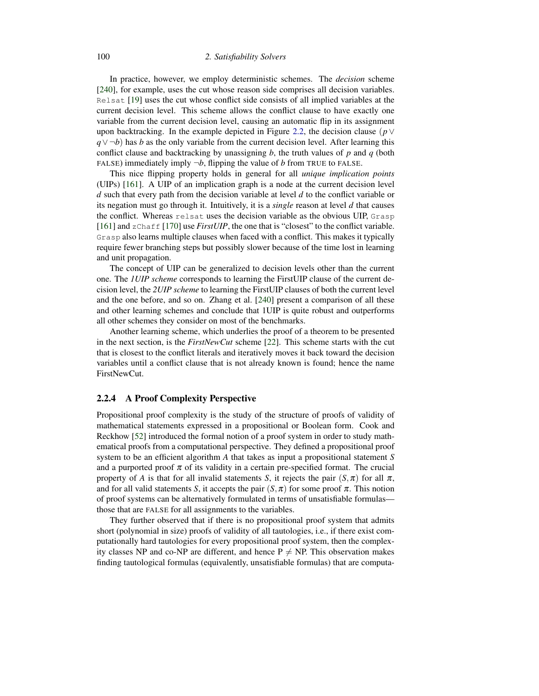In practice, however, we employ deterministic schemes. The *decision* scheme [\[240](#page-45-2)], for example, uses the cut whose reason side comprises all decision variables. Relsat [\[19](#page-34-2)] uses the cut whose conflict side consists of all implied variables at the current decision level. This scheme allows the conflict clause to have exactly one variable from the current decision level, causing an automatic flip in its assignment upon backtracking. In the example depicted in Figure [2.2,](#page-10-0) the decision clause (*p*∨ *q*∨¬*b*) has *b* as the only variable from the current decision level. After learning this conflict clause and backtracking by unassigning *b*, the truth values of *p* and *q* (both FALSE) immediately imply  $\neg b$ , flipping the value of *b* from TRUE to FALSE.

This nice flipping property holds in general for all *unique implication points* (UIPs) [\[161\]](#page-41-0). A UIP of an implication graph is a node at the current decision level *d* such that every path from the decision variable at level *d* to the conflict variable or its negation must go through it. Intuitively, it is a *single* reason at level *d* that causes the conflict. Whereas relsat uses the decision variable as the obvious UIP, Grasp [\[161](#page-41-0)] and zChaff [\[170\]](#page-41-2) use *FirstUIP*, the one that is "closest" to the conflict variable. Grasp also learns multiple clauses when faced with a conflict. This makes it typically require fewer branching steps but possibly slower because of the time lost in learning and unit propagation.

The concept of UIP can be generalized to decision levels other than the current one. The *1UIP scheme* corresponds to learning the FirstUIP clause of the current decision level, the *2UIP scheme* to learning the FirstUIP clauses of both the current level and the one before, and so on. Zhang et al. [\[240](#page-45-2)] present a comparison of all these and other learning schemes and conclude that 1UIP is quite robust and outperforms all other schemes they consider on most of the benchmarks.

Another learning scheme, which underlies the proof of a theorem to be presented in the next section, is the *FirstNewCut* scheme [\[22\]](#page-34-6). This scheme starts with the cut that is closest to the conflict literals and iteratively moves it back toward the decision variables until a conflict clause that is not already known is found; hence the name FirstNewCut.

### **2.2.4 A Proof Complexity Perspective**

Propositional proof complexity is the study of the structure of proofs of validity of mathematical statements expressed in a propositional or Boolean form. Cook and Reckhow [\[52\]](#page-35-3) introduced the formal notion of a proof system in order to study mathematical proofs from a computational perspective. They defined a propositional proof system to be an efficient algorithm *A* that takes as input a propositional statement *S* and a purported proof  $\pi$  of its validity in a certain pre-specified format. The crucial property of *A* is that for all invalid statements *S*, it rejects the pair  $(S, \pi)$  for all  $\pi$ , and for all valid statements *S*, it accepts the pair  $(S, \pi)$  for some proof  $\pi$ . This notion of proof systems can be alternatively formulated in terms of unsatisfiable formulas those that are FALSE for all assignments to the variables.

They further observed that if there is no propositional proof system that admits short (polynomial in size) proofs of validity of all tautologies, i.e., if there exist computationally hard tautologies for every propositional proof system, then the complexity classes NP and co-NP are different, and hence  $P \neq NP$ . This observation makes finding tautological formulas (equivalently, unsatisfiable formulas) that are computa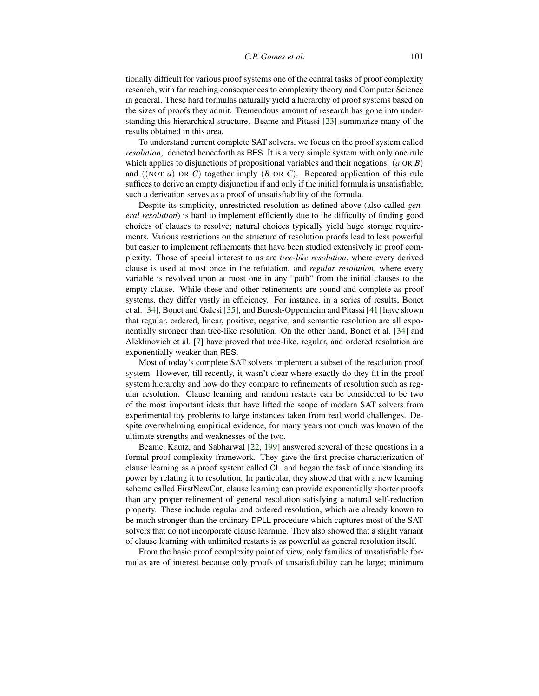tionally difficult for various proof systems one of the central tasks of proof complexity research, with far reaching consequences to complexity theory and Computer Science in general. These hard formulas naturally yield a hierarchy of proof systems based on the sizes of proofs they admit. Tremendous amount of research has gone into understanding this hierarchical structure. Beame and Pitassi [\[23\]](#page-34-7) summarize many of the results obtained in this area.

To understand current complete SAT solvers, we focus on the proof system called *resolution*, denoted henceforth as RES. It is a very simple system with only one rule which applies to disjunctions of propositional variables and their negations: (*a* OR *B*) and ((NOT *a*) OR *C*) together imply (*B* OR *C*). Repeated application of this rule suffices to derive an empty disjunction if and only if the initial formula is unsatisfiable; such a derivation serves as a proof of unsatisfiability of the formula.

Despite its simplicity, unrestricted resolution as defined above (also called *general resolution*) is hard to implement efficiently due to the difficulty of finding good choices of clauses to resolve; natural choices typically yield huge storage requirements. Various restrictions on the structure of resolution proofs lead to less powerful but easier to implement refinements that have been studied extensively in proof complexity. Those of special interest to us are *tree-like resolution*, where every derived clause is used at most once in the refutation, and *regular resolution*, where every variable is resolved upon at most one in any "path" from the initial clauses to the empty clause. While these and other refinements are sound and complete as proof systems, they differ vastly in efficiency. For instance, in a series of results, Bonet et al. [\[34\]](#page-34-8), Bonet and Galesi [\[35\]](#page-35-4), and Buresh-Oppenheim and Pitassi [\[41\]](#page-35-5) have shown that regular, ordered, linear, positive, negative, and semantic resolution are all exponentially stronger than tree-like resolution. On the other hand, Bonet et al. [\[34\]](#page-34-8) and Alekhnovich et al. [\[7](#page-33-2)] have proved that tree-like, regular, and ordered resolution are exponentially weaker than RES.

Most of today's complete SAT solvers implement a subset of the resolution proof system. However, till recently, it wasn't clear where exactly do they fit in the proof system hierarchy and how do they compare to refinements of resolution such as regular resolution. Clause learning and random restarts can be considered to be two of the most important ideas that have lifted the scope of modern SAT solvers from experimental toy problems to large instances taken from real world challenges. Despite overwhelming empirical evidence, for many years not much was known of the ultimate strengths and weaknesses of the two.

Beame, Kautz, and Sabharwal [\[22,](#page-34-6) [199](#page-43-4)] answered several of these questions in a formal proof complexity framework. They gave the first precise characterization of clause learning as a proof system called CL and began the task of understanding its power by relating it to resolution. In particular, they showed that with a new learning scheme called FirstNewCut, clause learning can provide exponentially shorter proofs than any proper refinement of general resolution satisfying a natural self-reduction property. These include regular and ordered resolution, which are already known to be much stronger than the ordinary DPLL procedure which captures most of the SAT solvers that do not incorporate clause learning. They also showed that a slight variant of clause learning with unlimited restarts is as powerful as general resolution itself.

From the basic proof complexity point of view, only families of unsatisfiable formulas are of interest because only proofs of unsatisfiability can be large; minimum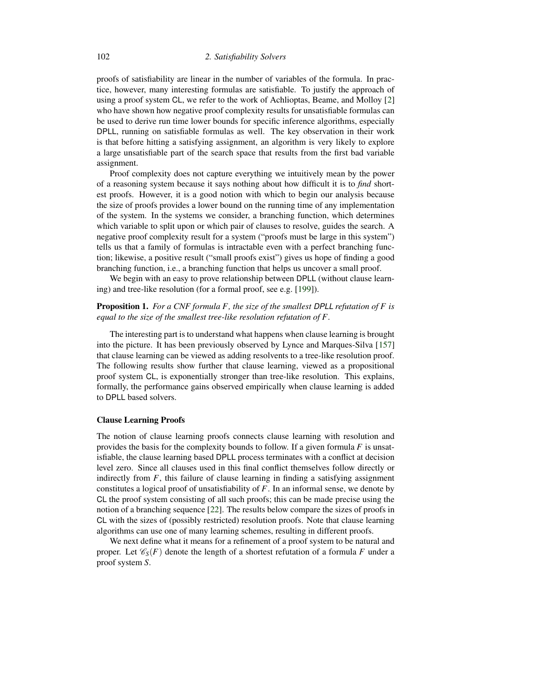proofs of satisfiability are linear in the number of variables of the formula. In practice, however, many interesting formulas are satisfiable. To justify the approach of using a proof system CL, we refer to the work of Achlioptas, Beame, and Molloy [\[2](#page-33-3)] who have shown how negative proof complexity results for unsatisfiable formulas can be used to derive run time lower bounds for specific inference algorithms, especially DPLL, running on satisfiable formulas as well. The key observation in their work is that before hitting a satisfying assignment, an algorithm is very likely to explore a large unsatisfiable part of the search space that results from the first bad variable assignment.

Proof complexity does not capture everything we intuitively mean by the power of a reasoning system because it says nothing about how difficult it is to *find* shortest proofs. However, it is a good notion with which to begin our analysis because the size of proofs provides a lower bound on the running time of any implementation of the system. In the systems we consider, a branching function, which determines which variable to split upon or which pair of clauses to resolve, guides the search. A negative proof complexity result for a system ("proofs must be large in this system") tells us that a family of formulas is intractable even with a perfect branching function; likewise, a positive result ("small proofs exist") gives us hope of finding a good branching function, i.e., a branching function that helps us uncover a small proof.

We begin with an easy to prove relationship between DPLL (without clause learning) and tree-like resolution (for a formal proof, see e.g. [\[199](#page-43-4)]).

## **Proposition 1.** *For a CNF formula F, the size of the smallest* DPLL *refutation of F is equal to the size of the smallest tree-like resolution refutation of F.*

The interesting part is to understand what happens when clause learning is brought into the picture. It has been previously observed by Lynce and Marques-Silva [\[157](#page-41-8)] that clause learning can be viewed as adding resolvents to a tree-like resolution proof. The following results show further that clause learning, viewed as a propositional proof system CL, is exponentially stronger than tree-like resolution. This explains, formally, the performance gains observed empirically when clause learning is added to DPLL based solvers.

#### **Clause Learning Proofs**

The notion of clause learning proofs connects clause learning with resolution and provides the basis for the complexity bounds to follow. If a given formula *F* is unsatisfiable, the clause learning based DPLL process terminates with a conflict at decision level zero. Since all clauses used in this final conflict themselves follow directly or indirectly from  $F$ , this failure of clause learning in finding a satisfying assignment constitutes a logical proof of unsatisfiability of *F*. In an informal sense, we denote by CL the proof system consisting of all such proofs; this can be made precise using the notion of a branching sequence [\[22\]](#page-34-6). The results below compare the sizes of proofs in CL with the sizes of (possibly restricted) resolution proofs. Note that clause learning algorithms can use one of many learning schemes, resulting in different proofs.

We next define what it means for a refinement of a proof system to be natural and proper. Let  $\mathcal{C}_S(F)$  denote the length of a shortest refutation of a formula F under a proof system *S*.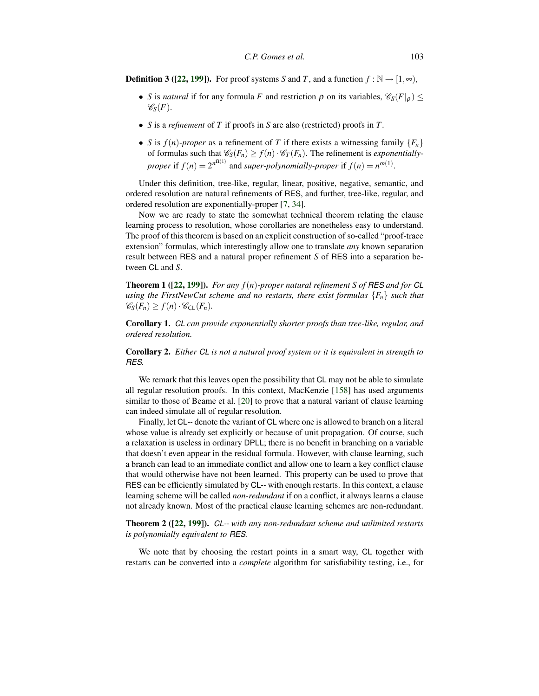**Definition** 3 ([\[22](#page-34-6), [199](#page-43-4)]). For proof systems *S* and *T*, and a function  $f : \mathbb{N} \to [1, \infty)$ ,

- *S* is *natural* if for any formula *F* and restriction  $\rho$  on its variables,  $\mathcal{C}_S(F|_{\rho}) \leq$  $\mathscr{C}_S(F)$ .
- *S* is a *refinement* of *T* if proofs in *S* are also (restricted) proofs in *T*.
- *S* is  $f(n)$ *-proper* as a refinement of *T* if there exists a witnessing family  ${F_n}$ of formulas such that  $\mathcal{C}_S(F_n) \ge f(n) \cdot \mathcal{C}_T(F_n)$ . The refinement is *exponentiallyproper* if  $f(n) = 2^{n^{\Omega(1)}}$  and *super-polynomially-proper* if  $f(n) = n^{\omega(1)}$ .

Under this definition, tree-like, regular, linear, positive, negative, semantic, and ordered resolution are natural refinements of RES, and further, tree-like, regular, and ordered resolution are exponentially-proper [\[7,](#page-33-2) [34\]](#page-34-8).

Now we are ready to state the somewhat technical theorem relating the clause learning process to resolution, whose corollaries are nonetheless easy to understand. The proof of this theorem is based on an explicit construction of so-called "proof-trace extension" formulas, which interestingly allow one to translate *any* known separation result between RES and a natural proper refinement *S* of RES into a separation between CL and *S*.

**Theorem 1 ([\[22,](#page-34-6) [199](#page-43-4)]).** *For any f*(*n*)*-proper natural refinement S of* RES *and for* CL *using* the FirstNewCut scheme and no restarts, there exist formulas  $\{F_n\}$  such that  $\mathscr{C}_{\mathcal{S}}(F_n) \geq f(n) \cdot \mathscr{C}_{\mathsf{CL}}(F_n).$ 

**Corollary 1.** CL *can provide exponentially shorter proofs than tree-like, regular, and ordered resolution.*

**Corollary 2.** *Either* CL *is not a natural proof system or it is equivalent in strength to* RES*.*

We remark that this leaves open the possibility that CL may not be able to simulate all regular resolution proofs. In this context, MacKenzie [\[158](#page-41-9)] has used arguments similar to those of Beame et al. [\[20\]](#page-34-9) to prove that a natural variant of clause learning can indeed simulate all of regular resolution.

Finally, let CL-- denote the variant of CL where one is allowed to branch on a literal whose value is already set explicitly or because of unit propagation. Of course, such a relaxation is useless in ordinary DPLL; there is no benefit in branching on a variable that doesn't even appear in the residual formula. However, with clause learning, such a branch can lead to an immediate conflict and allow one to learn a key conflict clause that would otherwise have not been learned. This property can be used to prove that RES can be efficiently simulated by CL-- with enough restarts. In this context, a clause learning scheme will be called *non-redundant* if on a conflict, it always learns a clause not already known. Most of the practical clause learning schemes are non-redundant.

**Theorem 2 ([\[22](#page-34-6), [199\]](#page-43-4)).** CL-- *with any non-redundant scheme and unlimited restarts is polynomially equivalent to* RES*.*

We note that by choosing the restart points in a smart way, CL together with restarts can be converted into a *complete* algorithm for satisfiability testing, i.e., for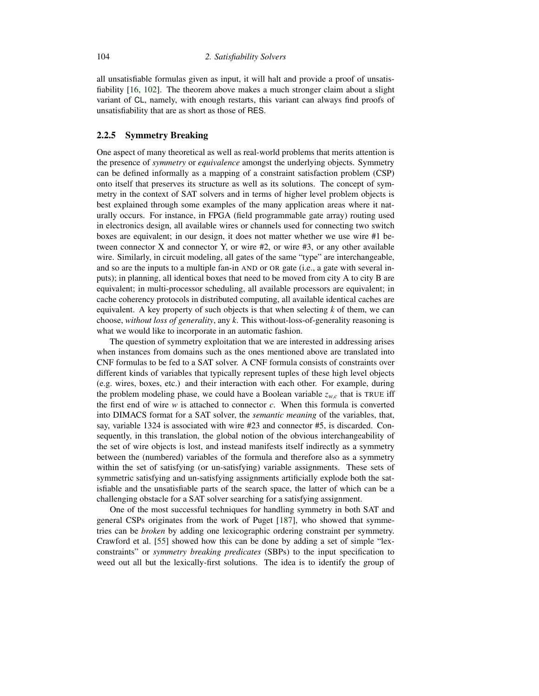all unsatisfiable formulas given as input, it will halt and provide a proof of unsatisfiability [\[16](#page-33-4), [102](#page-38-2)]. The theorem above makes a much stronger claim about a slight variant of CL, namely, with enough restarts, this variant can always find proofs of unsatisfiability that are as short as those of RES.

## **2.2.5 Symmetry Breaking**

One aspect of many theoretical as well as real-world problems that merits attention is the presence of *symmetry* or *equivalence* amongst the underlying objects. Symmetry can be defined informally as a mapping of a constraint satisfaction problem (CSP) onto itself that preserves its structure as well as its solutions. The concept of symmetry in the context of SAT solvers and in terms of higher level problem objects is best explained through some examples of the many application areas where it naturally occurs. For instance, in FPGA (field programmable gate array) routing used in electronics design, all available wires or channels used for connecting two switch boxes are equivalent; in our design, it does not matter whether we use wire #1 between connector X and connector Y, or wire #2, or wire #3, or any other available wire. Similarly, in circuit modeling, all gates of the same "type" are interchangeable, and so are the inputs to a multiple fan-in AND or OR gate (i.e., a gate with several inputs); in planning, all identical boxes that need to be moved from city A to city B are equivalent; in multi-processor scheduling, all available processors are equivalent; in cache coherency protocols in distributed computing, all available identical caches are equivalent. A key property of such objects is that when selecting *k* of them, we can choose, *without loss of generality*, any *k*. This without-loss-of-generality reasoning is what we would like to incorporate in an automatic fashion.

The question of symmetry exploitation that we are interested in addressing arises when instances from domains such as the ones mentioned above are translated into CNF formulas to be fed to a SAT solver. A CNF formula consists of constraints over different kinds of variables that typically represent tuples of these high level objects (e.g. wires, boxes, etc.) and their interaction with each other. For example, during the problem modeling phase, we could have a Boolean variable  $z_{w,c}$  that is TRUE iff the first end of wire *w* is attached to connector *c*. When this formula is converted into DIMACS format for a SAT solver, the *semantic meaning* of the variables, that, say, variable 1324 is associated with wire #23 and connector #5, is discarded. Consequently, in this translation, the global notion of the obvious interchangeability of the set of wire objects is lost, and instead manifests itself indirectly as a symmetry between the (numbered) variables of the formula and therefore also as a symmetry within the set of satisfying (or un-satisfying) variable assignments. These sets of symmetric satisfying and un-satisfying assignments artificially explode both the satisfiable and the unsatisfiable parts of the search space, the latter of which can be a challenging obstacle for a SAT solver searching for a satisfying assignment.

One of the most successful techniques for handling symmetry in both SAT and general CSPs originates from the work of Puget [\[187](#page-42-1)], who showed that symmetries can be *broken* by adding one lexicographic ordering constraint per symmetry. Crawford et al. [\[55\]](#page-36-6) showed how this can be done by adding a set of simple "lexconstraints" or *symmetry breaking predicates* (SBPs) to the input specification to weed out all but the lexically-first solutions. The idea is to identify the group of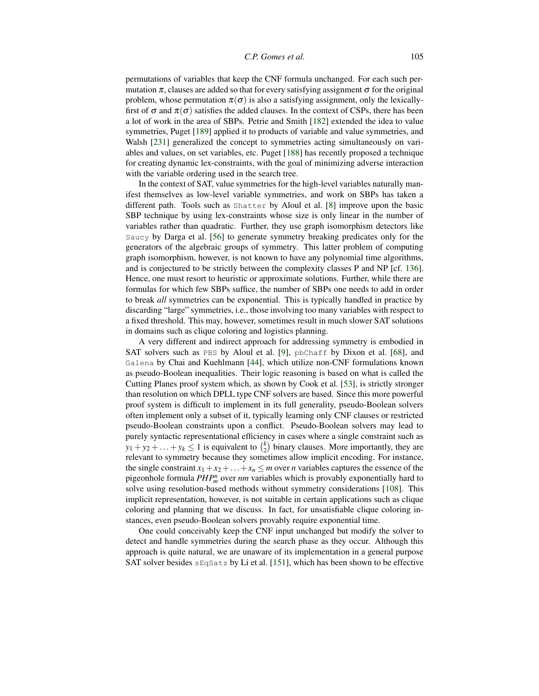permutations of variables that keep the CNF formula unchanged. For each such permutation  $\pi$ , clauses are added so that for every satisfying assignment  $\sigma$  for the original problem, whose permutation  $\pi(\sigma)$  is also a satisfying assignment, only the lexicallyfirst of  $\sigma$  and  $\pi(\sigma)$  satisfies the added clauses. In the context of CSPs, there has been a lot of work in the area of SBPs. Petrie and Smith [\[182](#page-42-2)] extended the idea to value symmetries, Puget [\[189](#page-42-3)] applied it to products of variable and value symmetries, and Walsh [\[231](#page-44-6)] generalized the concept to symmetries acting simultaneously on variables and values, on set variables, etc. Puget [\[188](#page-42-4)] has recently proposed a technique for creating dynamic lex-constraints, with the goal of minimizing adverse interaction with the variable ordering used in the search tree.

In the context of SAT, value symmetries for the high-level variables naturally manifest themselves as low-level variable symmetries, and work on SBPs has taken a different path. Tools such as Shatter by Aloul et al. [\[8\]](#page-33-5) improve upon the basic SBP technique by using lex-constraints whose size is only linear in the number of variables rather than quadratic. Further, they use graph isomorphism detectors like Saucy by Darga et al. [\[56\]](#page-36-7) to generate symmetry breaking predicates only for the generators of the algebraic groups of symmetry. This latter problem of computing graph isomorphism, however, is not known to have any polynomial time algorithms, and is conjectured to be strictly between the complexity classes P and NP [cf. [136\]](#page-40-9). Hence, one must resort to heuristic or approximate solutions. Further, while there are formulas for which few SBPs suffice, the number of SBPs one needs to add in order to break *all* symmetries can be exponential. This is typically handled in practice by discarding "large" symmetries, i.e., those involving too many variables with respect to a fixed threshold. This may, however, sometimes result in much slower SAT solutions in domains such as clique coloring and logistics planning.

A very different and indirect approach for addressing symmetry is embodied in SAT solvers such as PBS by Aloul et al. [\[9](#page-33-6)],  $pbchatf$  by Dixon et al. [\[68\]](#page-36-8), and Galena by Chai and Kuehlmann [\[44](#page-35-6)], which utilize non-CNF formulations known as pseudo-Boolean inequalities. Their logic reasoning is based on what is called the Cutting Planes proof system which, as shown by Cook et al. [\[53](#page-35-7)], is strictly stronger than resolution on which DPLL type CNF solvers are based. Since this more powerful proof system is difficult to implement in its full generality, pseudo-Boolean solvers often implement only a subset of it, typically learning only CNF clauses or restricted pseudo-Boolean constraints upon a conflict. Pseudo-Boolean solvers may lead to purely syntactic representational efficiency in cases where a single constraint such as  $y_1 + y_2 + ... + y_k \le 1$  is equivalent to  $\binom{k}{2}$  binary clauses. More importantly, they are relevant to symmetry because they sometimes allow implicit encoding. For instance, the single constraint  $x_1 + x_2 + \ldots + x_n \le m$  over *n* variables captures the essence of the pigeonhole formula *PHP n <sup>m</sup>* over *nm* variables which is provably exponentially hard to solve using resolution-based methods without symmetry considerations [\[108\]](#page-38-3). This implicit representation, however, is not suitable in certain applications such as clique coloring and planning that we discuss. In fact, for unsatisfiable clique coloring instances, even pseudo-Boolean solvers provably require exponential time.

One could conceivably keep the CNF input unchanged but modify the solver to detect and handle symmetries during the search phase as they occur. Although this approach is quite natural, we are unaware of its implementation in a general purpose SAT solver besides sEqSatz by Li et al. [\[151](#page-40-10)], which has been shown to be effective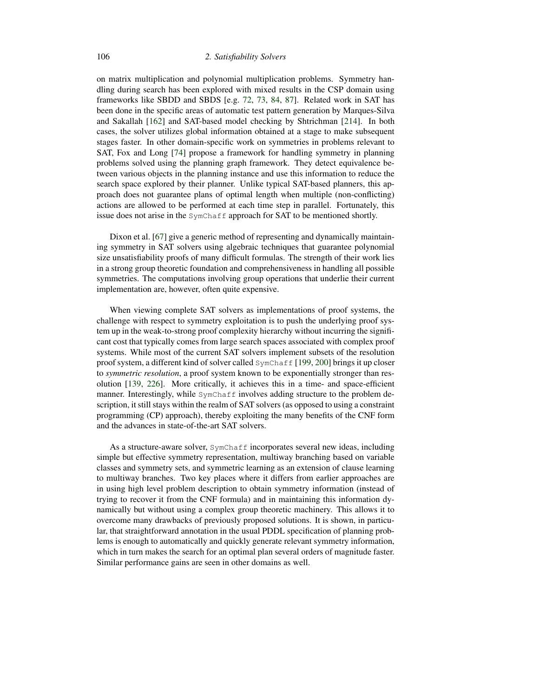on matrix multiplication and polynomial multiplication problems. Symmetry handling during search has been explored with mixed results in the CSP domain using frameworks like SBDD and SBDS [e.g. [72,](#page-36-9) [73,](#page-36-10) [84,](#page-37-3) [87\]](#page-37-4). Related work in SAT has been done in the specific areas of automatic test pattern generation by Marques-Silva and Sakallah [\[162](#page-41-10)] and SAT-based model checking by Shtrichman [\[214](#page-43-5)]. In both cases, the solver utilizes global information obtained at a stage to make subsequent stages faster. In other domain-specific work on symmetries in problems relevant to SAT, Fox and Long [\[74\]](#page-36-11) propose a framework for handling symmetry in planning problems solved using the planning graph framework. They detect equivalence between various objects in the planning instance and use this information to reduce the search space explored by their planner. Unlike typical SAT-based planners, this approach does not guarantee plans of optimal length when multiple (non-conflicting) actions are allowed to be performed at each time step in parallel. Fortunately, this issue does not arise in the SymChaff approach for SAT to be mentioned shortly.

Dixon et al. [\[67](#page-36-12)] give a generic method of representing and dynamically maintaining symmetry in SAT solvers using algebraic techniques that guarantee polynomial size unsatisfiability proofs of many difficult formulas. The strength of their work lies in a strong group theoretic foundation and comprehensiveness in handling all possible symmetries. The computations involving group operations that underlie their current implementation are, however, often quite expensive.

When viewing complete SAT solvers as implementations of proof systems, the challenge with respect to symmetry exploitation is to push the underlying proof system up in the weak-to-strong proof complexity hierarchy without incurring the significant cost that typically comes from large search spaces associated with complex proof systems. While most of the current SAT solvers implement subsets of the resolution proof system, a different kind of solver called SymChaff [\[199,](#page-43-4) [200](#page-43-6)] brings it up closer to *symmetric resolution*, a proof system known to be exponentially stronger than resolution [\[139](#page-40-11), [226\]](#page-44-7). More critically, it achieves this in a time- and space-efficient manner. Interestingly, while  $SymThat$  involves adding structure to the problem description, it still stays within the realm of SAT solvers (as opposed to using a constraint programming (CP) approach), thereby exploiting the many benefits of the CNF form and the advances in state-of-the-art SAT solvers.

As a structure-aware solver, SymChaff incorporates several new ideas, including simple but effective symmetry representation, multiway branching based on variable classes and symmetry sets, and symmetric learning as an extension of clause learning to multiway branches. Two key places where it differs from earlier approaches are in using high level problem description to obtain symmetry information (instead of trying to recover it from the CNF formula) and in maintaining this information dynamically but without using a complex group theoretic machinery. This allows it to overcome many drawbacks of previously proposed solutions. It is shown, in particular, that straightforward annotation in the usual PDDL specification of planning problems is enough to automatically and quickly generate relevant symmetry information, which in turn makes the search for an optimal plan several orders of magnitude faster. Similar performance gains are seen in other domains as well.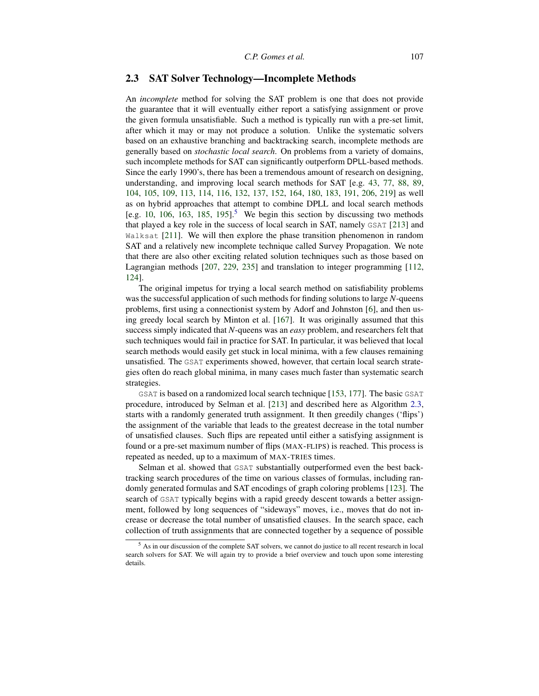## **2.3 SAT Solver Technology—Incomplete Methods**

An *incomplete* method for solving the SAT problem is one that does not provide the guarantee that it will eventually either report a satisfying assignment or prove the given formula unsatisfiable. Such a method is typically run with a pre-set limit, after which it may or may not produce a solution. Unlike the systematic solvers based on an exhaustive branching and backtracking search, incomplete methods are generally based on *stochastic local search*. On problems from a variety of domains, such incomplete methods for SAT can significantly outperform DPLL-based methods. Since the early 1990's, there has been a tremendous amount of research on designing, understanding, and improving local search methods for SAT [e.g. [43,](#page-35-8) [77](#page-37-5), [88](#page-37-6), [89,](#page-37-7) [104,](#page-38-4) [105](#page-38-5), [109,](#page-38-1) [113,](#page-38-6) [114](#page-38-7), [116,](#page-39-6) [132](#page-39-7), [137](#page-40-12), [152,](#page-40-2) [164](#page-41-11), [180](#page-42-5), [183,](#page-42-6) [191](#page-42-7), [206,](#page-43-7) [219\]](#page-44-8) as well as on hybrid approaches that attempt to combine DPLL and local search methods [e.g. [10](#page-33-7), [106,](#page-38-8) [163](#page-41-12), [185,](#page-42-8) [195](#page-42-9)].<sup>[5](#page-18-0)</sup> We begin this section by discussing two methods that played a key role in the success of local search in SAT, namely GSAT [\[213\]](#page-43-3) and Walksat [\[211](#page-43-2)]. We will then explore the phase transition phenomenon in random SAT and a relatively new incomplete technique called Survey Propagation. We note that there are also other exciting related solution techniques such as those based on Lagrangian methods [\[207](#page-43-8), [229,](#page-44-9) [235\]](#page-45-3) and translation to integer programming [\[112,](#page-38-9) [124\]](#page-39-8).

The original impetus for trying a local search method on satisfiability problems was the successful application of such methods for finding solutions to large *N*-queens problems, first using a connectionist system by Adorf and Johnston [\[6\]](#page-33-8), and then using greedy local search by Minton et al. [\[167\]](#page-41-13). It was originally assumed that this success simply indicated that *N*-queens was an *easy* problem, and researchers felt that such techniques would fail in practice for SAT. In particular, it was believed that local search methods would easily get stuck in local minima, with a few clauses remaining unsatisfied. The GSAT experiments showed, however, that certain local search strategies often do reach global minima, in many cases much faster than systematic search strategies.

GSAT is based on a randomized local search technique [\[153](#page-40-13), [177\]](#page-42-10). The basic GSAT procedure, introduced by Selman et al. [\[213](#page-43-3)] and described here as Algorithm [2.3,](#page-18-1) starts with a randomly generated truth assignment. It then greedily changes ('flips') the assignment of the variable that leads to the greatest decrease in the total number of unsatisfied clauses. Such flips are repeated until either a satisfying assignment is found or a pre-set maximum number of flips (MAX-FLIPS) is reached. This process is repeated as needed, up to a maximum of MAX-TRIES times.

<span id="page-18-1"></span>Selman et al. showed that GSAT substantially outperformed even the best backtracking search procedures of the time on various classes of formulas, including randomly generated formulas and SAT encodings of graph coloring problems [\[123](#page-39-9)]. The search of GSAT typically begins with a rapid greedy descent towards a better assignment, followed by long sequences of "sideways" moves, i.e., moves that do not increase or decrease the total number of unsatisfied clauses. In the search space, each collection of truth assignments that are connected together by a sequence of possible

<span id="page-18-0"></span> $<sup>5</sup>$  As in our discussion of the complete SAT solvers, we cannot do justice to all recent research in local</sup> search solvers for SAT. We will again try to provide a brief overview and touch upon some interesting details.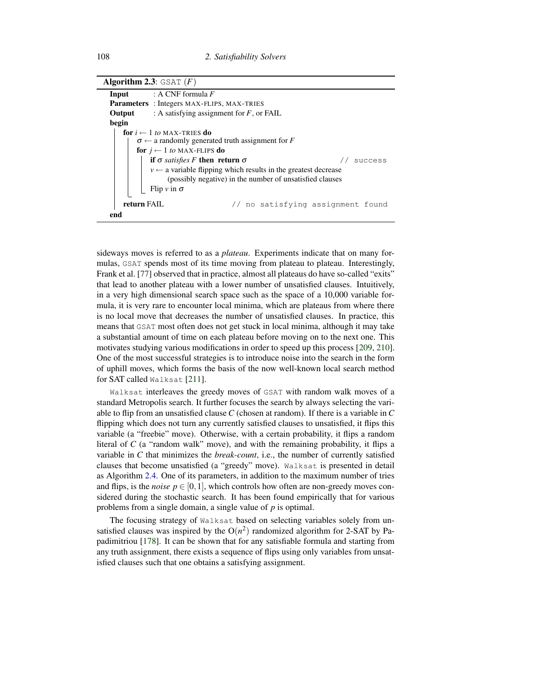| Algorithm 2.3: GSAT $(F)$                                                                                                                                                                                                                                                                                                                                                     |                                                   |  |  |
|-------------------------------------------------------------------------------------------------------------------------------------------------------------------------------------------------------------------------------------------------------------------------------------------------------------------------------------------------------------------------------|---------------------------------------------------|--|--|
| Input                                                                                                                                                                                                                                                                                                                                                                         | : A CNF formula $F$                               |  |  |
|                                                                                                                                                                                                                                                                                                                                                                               | <b>Parameters</b> : Integers MAX-FLIPS, MAX-TRIES |  |  |
| Output                                                                                                                                                                                                                                                                                                                                                                        | : A satisfying assignment for $F$ , or FAIL       |  |  |
| begin                                                                                                                                                                                                                                                                                                                                                                         |                                                   |  |  |
| for $i \leftarrow 1$ to MAX-TRIES do<br>$\sigma \leftarrow$ a randomly generated truth assignment for F<br>for $j \leftarrow 1$ to MAX-FLIPS do<br>if $\sigma$ satisfies F then return $\sigma$<br>success<br>$v \leftarrow$ a variable flipping which results in the greatest decrease<br>(possibly negative) in the number of unsatisfied clauses<br>Flip $\nu$ in $\sigma$ |                                                   |  |  |
| return FAIL<br>end                                                                                                                                                                                                                                                                                                                                                            | // no satisfying assignment found                 |  |  |

sideways moves is referred to as a *plateau*. Experiments indicate that on many formulas, GSAT spends most of its time moving from plateau to plateau. Interestingly, Frank et al. [\[77](#page-37-5)] observed that in practice, almost all plateaus do have so-called "exits" that lead to another plateau with a lower number of unsatisfied clauses. Intuitively, in a very high dimensional search space such as the space of a 10,000 variable formula, it is very rare to encounter local minima, which are plateaus from where there is no local move that decreases the number of unsatisfied clauses. In practice, this means that GSAT most often does not get stuck in local minima, although it may take a substantial amount of time on each plateau before moving on to the next one. This motivates studying various modifications in order to speed up this process [\[209,](#page-43-9) [210\]](#page-43-10). One of the most successful strategies is to introduce noise into the search in the form of uphill moves, which forms the basis of the now well-known local search method for SAT called Walksat [\[211\]](#page-43-2).

Walksat interleaves the greedy moves of GSAT with random walk moves of a standard Metropolis search. It further focuses the search by always selecting the variable to flip from an unsatisfied clause *C* (chosen at random). If there is a variable in *C* flipping which does not turn any currently satisfied clauses to unsatisfied, it flips this variable (a "freebie" move). Otherwise, with a certain probability, it flips a random literal of *C* (a "random walk" move), and with the remaining probability, it flips a variable in *C* that minimizes the *break-count*, i.e., the number of currently satisfied clauses that become unsatisfied (a "greedy" move). Walksat is presented in detail as Algorithm [2.4.](#page-19-0) One of its parameters, in addition to the maximum number of tries and flips, is the *noise*  $p \in [0,1]$ , which controls how often are non-greedy moves considered during the stochastic search. It has been found empirically that for various problems from a single domain, a single value of *p* is optimal.

<span id="page-19-0"></span>The focusing strategy of Walksat based on selecting variables solely from unsatisfied clauses was inspired by the  $O(n^2)$  randomized algorithm for 2-SAT by Papadimitriou [\[178](#page-42-11)]. It can be shown that for any satisfiable formula and starting from any truth assignment, there exists a sequence of flips using only variables from unsatisfied clauses such that one obtains a satisfying assignment.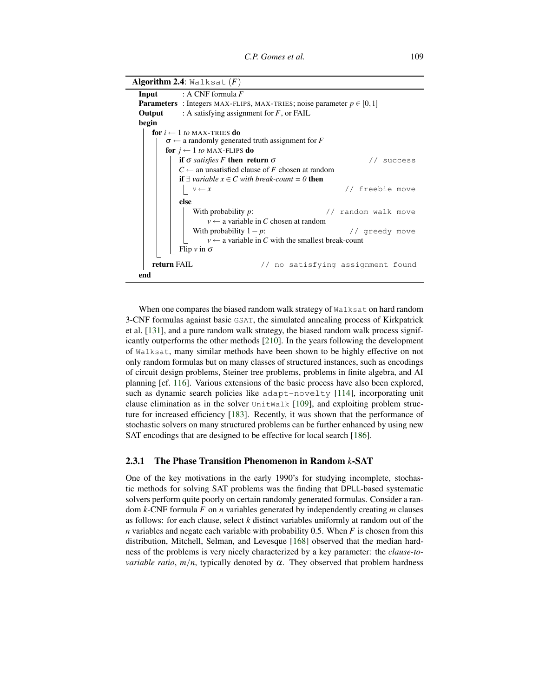**Algorithm 2.4**: Walksat (*F*)

| Input                                                                             | : A CNF formula $F$                                          |                                   |  |
|-----------------------------------------------------------------------------------|--------------------------------------------------------------|-----------------------------------|--|
| <b>Parameters</b> : Integers MAX-FLIPS, MAX-TRIES; noise parameter $p \in [0, 1]$ |                                                              |                                   |  |
|                                                                                   | : A satisfying assignment for $F$ , or FAIL<br>Output        |                                   |  |
| begin                                                                             |                                                              |                                   |  |
| for $i \leftarrow 1$ to MAX-TRIES do                                              |                                                              |                                   |  |
| $\sigma \leftarrow$ a randomly generated truth assignment for F                   |                                                              |                                   |  |
| for $j \leftarrow 1$ to MAX-FLIPS do                                              |                                                              |                                   |  |
|                                                                                   | if $\sigma$ satisfies F then return $\sigma$                 | // success                        |  |
| $C \leftarrow$ an unsatisfied clause of F chosen at random                        |                                                              |                                   |  |
| <b>if</b> $\exists$ variable $x \in C$ with break-count = 0 <b>then</b>           |                                                              |                                   |  |
|                                                                                   | $v \leftarrow x$                                             | // freebie move                   |  |
|                                                                                   | else                                                         |                                   |  |
|                                                                                   | With probability $p$ :                                       | // random walk move               |  |
|                                                                                   | $v \leftarrow$ a variable in C chosen at random              |                                   |  |
|                                                                                   | With probability $1-p$ :                                     | // greedy move                    |  |
|                                                                                   | $v \leftarrow$ a variable in C with the smallest break-count |                                   |  |
|                                                                                   | Flip $\nu$ in $\sigma$                                       |                                   |  |
|                                                                                   |                                                              |                                   |  |
|                                                                                   | return FAIL                                                  | // no satisfying assignment found |  |
| end                                                                               |                                                              |                                   |  |

When one compares the biased random walk strategy of Walksat on hard random 3-CNF formulas against basic GSAT, the simulated annealing process of Kirkpatrick et al. [\[131\]](#page-39-10), and a pure random walk strategy, the biased random walk process significantly outperforms the other methods [\[210](#page-43-10)]. In the years following the development of Walksat, many similar methods have been shown to be highly effective on not only random formulas but on many classes of structured instances, such as encodings of circuit design problems, Steiner tree problems, problems in finite algebra, and AI planning [cf. [116\]](#page-39-6). Various extensions of the basic process have also been explored, such as dynamic search policies like adapt-novelty [\[114](#page-38-7)], incorporating unit clause elimination as in the solver  $UnitWalk [109]$  $UnitWalk [109]$  $UnitWalk [109]$ , and exploiting problem structure for increased efficiency [\[183\]](#page-42-6). Recently, it was shown that the performance of stochastic solvers on many structured problems can be further enhanced by using new SAT encodings that are designed to be effective for local search [\[186\]](#page-42-12).

#### **2.3.1 The Phase Transition Phenomenon in Random** *k***-SAT**

One of the key motivations in the early 1990's for studying incomplete, stochastic methods for solving SAT problems was the finding that DPLL-based systematic solvers perform quite poorly on certain randomly generated formulas. Consider a random *k*-CNF formula *F* on *n* variables generated by independently creating *m* clauses as follows: for each clause, select *k* distinct variables uniformly at random out of the *n* variables and negate each variable with probability 0.5. When *F* is chosen from this distribution, Mitchell, Selman, and Levesque [\[168\]](#page-41-6) observed that the median hardness of the problems is very nicely characterized by a key parameter: the *clause-tovariable ratio,*  $m/n$ *, typically denoted by*  $\alpha$ *. They observed that problem hardness*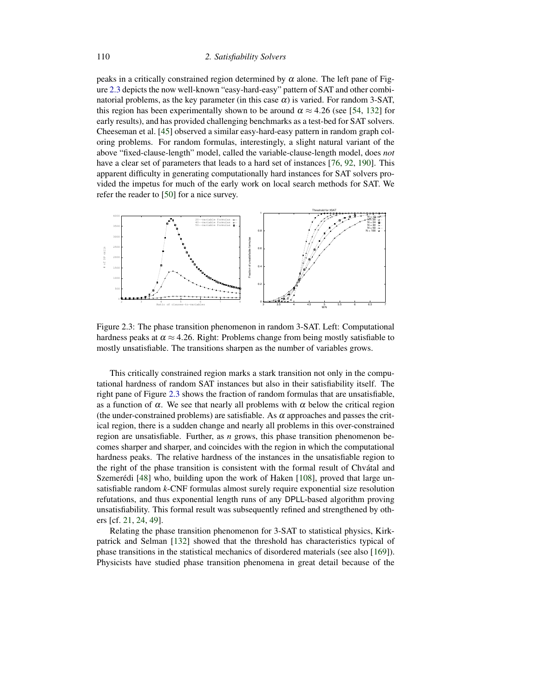peaks in a critically constrained region determined by  $\alpha$  alone. The left pane of Figure [2.3](#page-21-0) depicts the now well-known "easy-hard-easy" pattern of SAT and other combinatorial problems, as the key parameter (in this case  $α$ ) is varied. For random 3-SAT, this region has been experimentally shown to be around  $\alpha \approx 4.26$  (see [\[54](#page-35-9), [132\]](#page-39-7) for early results), and has provided challenging benchmarks as a test-bed for SAT solvers. Cheeseman et al. [\[45\]](#page-35-10) observed a similar easy-hard-easy pattern in random graph coloring problems. For random formulas, interestingly, a slight natural variant of the above "fixed-clause-length" model, called the variable-clause-length model, does *not* have a clear set of parameters that leads to a hard set of instances [\[76](#page-37-8), [92](#page-37-9), [190\]](#page-42-13). This apparent difficulty in generating computationally hard instances for SAT solvers provided the impetus for much of the early work on local search methods for SAT. We refer the reader to [\[50\]](#page-35-11) for a nice survey.



<span id="page-21-0"></span>Figure 2.3: The phase transition phenomenon in random 3-SAT. Left: Computational hardness peaks at  $\alpha \approx 4.26$ . Right: Problems change from being mostly satisfiable to mostly unsatisfiable. The transitions sharpen as the number of variables grows.

This critically constrained region marks a stark transition not only in the computational hardness of random SAT instances but also in their satisfiability itself. The right pane of Figure [2.3](#page-21-0) shows the fraction of random formulas that are unsatisfiable, as a function of  $\alpha$ . We see that nearly all problems with  $\alpha$  below the critical region (the under-constrained problems) are satisfiable. As  $\alpha$  approaches and passes the critical region, there is a sudden change and nearly all problems in this over-constrained region are unsatisfiable. Further, as *n* grows, this phase transition phenomenon becomes sharper and sharper, and coincides with the region in which the computational hardness peaks. The relative hardness of the instances in the unsatisfiable region to the right of the phase transition is consistent with the formal result of Chvátal and Szemerédi [\[48](#page-35-12)] who, building upon the work of Haken [\[108\]](#page-38-3), proved that large unsatisfiable random *k*-CNF formulas almost surely require exponential size resolution refutations, and thus exponential length runs of any DPLL-based algorithm proving unsatisfiability. This formal result was subsequently refined and strengthened by others [cf. [21,](#page-34-10) [24,](#page-34-11) [49\]](#page-35-13).

Relating the phase transition phenomenon for 3-SAT to statistical physics, Kirkpatrick and Selman [\[132](#page-39-7)] showed that the threshold has characteristics typical of phase transitions in the statistical mechanics of disordered materials (see also [\[169](#page-41-14)]). Physicists have studied phase transition phenomena in great detail because of the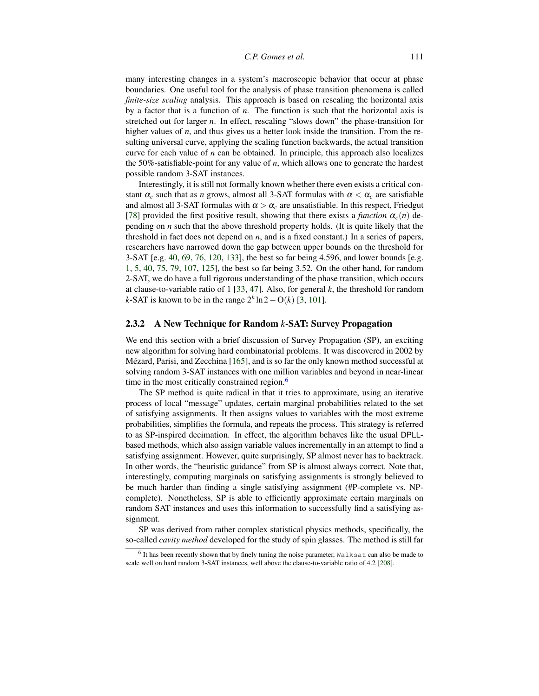many interesting changes in a system's macroscopic behavior that occur at phase boundaries. One useful tool for the analysis of phase transition phenomena is called *finite-size scaling* analysis. This approach is based on rescaling the horizontal axis by a factor that is a function of *n*. The function is such that the horizontal axis is stretched out for larger *n*. In effect, rescaling "slows down" the phase-transition for higher values of *n*, and thus gives us a better look inside the transition. From the resulting universal curve, applying the scaling function backwards, the actual transition curve for each value of *n* can be obtained. In principle, this approach also localizes the 50%-satisfiable-point for any value of  $n$ , which allows one to generate the hardest possible random 3-SAT instances.

Interestingly, it is still not formally known whether there even exists a critical constant  $\alpha_c$  such that as *n* grows, almost all 3-SAT formulas with  $\alpha < \alpha_c$  are satisfiable and almost all 3-SAT formulas with  $\alpha > \alpha_c$  are unsatisfiable. In this respect, Friedgut [\[78](#page-37-10)] provided the first positive result, showing that there exists a *function*  $\alpha_c(n)$  depending on *n* such that the above threshold property holds. (It is quite likely that the threshold in fact does not depend on *n*, and is a fixed constant.) In a series of papers, researchers have narrowed down the gap between upper bounds on the threshold for 3-SAT [e.g. [40,](#page-35-14) [69,](#page-36-13) [76,](#page-37-8) [120,](#page-39-11) [133\]](#page-39-12), the best so far being 4.596, and lower bounds [e.g. [1,](#page-33-9) [5,](#page-33-10) [40](#page-35-14), [75](#page-36-14), [79](#page-37-11), [107,](#page-38-10) [125\]](#page-39-13), the best so far being 3.52. On the other hand, for random 2-SAT, we do have a full rigorous understanding of the phase transition, which occurs at clause-to-variable ratio of 1 [\[33,](#page-34-12) [47\]](#page-35-15). Also, for general *k*, the threshold for random *k*-SAT is known to be in the range  $2^k \ln 2 - O(k)$  [\[3,](#page-33-11) [101\]](#page-38-11).

## **2.3.2 A New Technique for Random** *k***-SAT: Survey Propagation**

We end this section with a brief discussion of Survey Propagation (SP), an exciting new algorithm for solving hard combinatorial problems. It was discovered in 2002 by Mézard, Parisi, and Zecchina [\[165\]](#page-41-1), and is so far the only known method successful at solving random 3-SAT instances with one million variables and beyond in near-linear time in the most critically constrained region.<sup>[6](#page-22-0)</sup>

The SP method is quite radical in that it tries to approximate, using an iterative process of local "message" updates, certain marginal probabilities related to the set of satisfying assignments. It then assigns values to variables with the most extreme probabilities, simplifies the formula, and repeats the process. This strategy is referred to as SP-inspired decimation. In effect, the algorithm behaves like the usual DPLLbased methods, which also assign variable values incrementally in an attempt to find a satisfying assignment. However, quite surprisingly, SP almost never has to backtrack. In other words, the "heuristic guidance" from SP is almost always correct. Note that, interestingly, computing marginals on satisfying assignments is strongly believed to be much harder than finding a single satisfying assignment (#P-complete vs. NPcomplete). Nonetheless, SP is able to efficiently approximate certain marginals on random SAT instances and uses this information to successfully find a satisfying assignment.

SP was derived from rather complex statistical physics methods, specifically, the so-called *cavity method* developed for the study of spin glasses. The method is still far

<span id="page-22-0"></span> $6$  It has been recently shown that by finely tuning the noise parameter,  $W$ alksat can also be made to scale well on hard random 3-SAT instances, well above the clause-to-variable ratio of 4.2 [\[208\]](#page-43-11).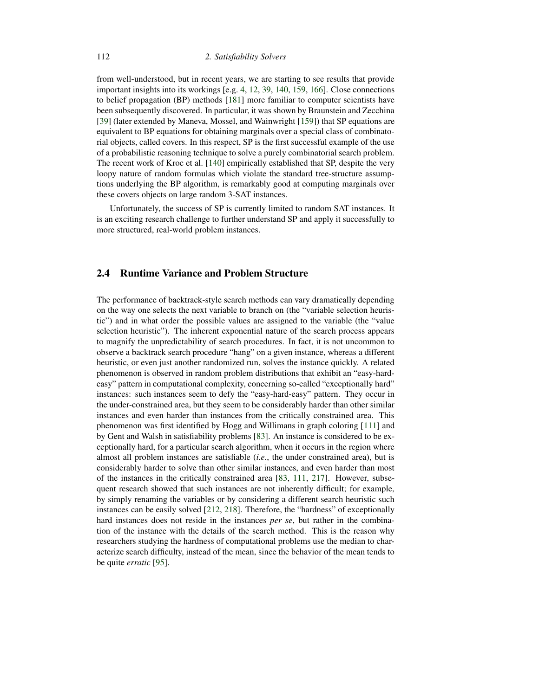from well-understood, but in recent years, we are starting to see results that provide important insights into its workings [e.g. [4](#page-33-12), [12,](#page-33-13) [39,](#page-35-16) [140,](#page-40-14) [159](#page-41-15), [166](#page-41-16)]. Close connections to belief propagation (BP) methods [\[181](#page-42-14)] more familiar to computer scientists have been subsequently discovered. In particular, it was shown by Braunstein and Zecchina [\[39](#page-35-16)] (later extended by Maneva, Mossel, and Wainwright [\[159](#page-41-15)]) that SP equations are equivalent to BP equations for obtaining marginals over a special class of combinatorial objects, called covers. In this respect, SP is the first successful example of the use of a probabilistic reasoning technique to solve a purely combinatorial search problem. The recent work of Kroc et al. [\[140\]](#page-40-14) empirically established that SP, despite the very loopy nature of random formulas which violate the standard tree-structure assumptions underlying the BP algorithm, is remarkably good at computing marginals over these covers objects on large random 3-SAT instances.

Unfortunately, the success of SP is currently limited to random SAT instances. It is an exciting research challenge to further understand SP and apply it successfully to more structured, real-world problem instances.

## **2.4 Runtime Variance and Problem Structure**

The performance of backtrack-style search methods can vary dramatically depending on the way one selects the next variable to branch on (the "variable selection heuristic") and in what order the possible values are assigned to the variable (the "value selection heuristic"). The inherent exponential nature of the search process appears to magnify the unpredictability of search procedures. In fact, it is not uncommon to observe a backtrack search procedure "hang" on a given instance, whereas a different heuristic, or even just another randomized run, solves the instance quickly. A related phenomenon is observed in random problem distributions that exhibit an "easy-hardeasy" pattern in computational complexity, concerning so-called "exceptionally hard" instances: such instances seem to defy the "easy-hard-easy" pattern. They occur in the under-constrained area, but they seem to be considerably harder than other similar instances and even harder than instances from the critically constrained area. This phenomenon was first identified by Hogg and Willimans in graph coloring [\[111](#page-38-12)] and by Gent and Walsh in satisfiability problems [\[83](#page-37-12)]. An instance is considered to be exceptionally hard, for a particular search algorithm, when it occurs in the region where almost all problem instances are satisfiable (*i.e.*, the under constrained area), but is considerably harder to solve than other similar instances, and even harder than most of the instances in the critically constrained area [\[83,](#page-37-12) [111,](#page-38-12) [217](#page-44-10)]. However, subsequent research showed that such instances are not inherently difficult; for example, by simply renaming the variables or by considering a different search heuristic such instances can be easily solved [\[212,](#page-43-12) [218\]](#page-44-11). Therefore, the "hardness" of exceptionally hard instances does not reside in the instances *per se*, but rather in the combination of the instance with the details of the search method. This is the reason why researchers studying the hardness of computational problems use the median to characterize search difficulty, instead of the mean, since the behavior of the mean tends to be quite *erratic* [\[95\]](#page-37-13).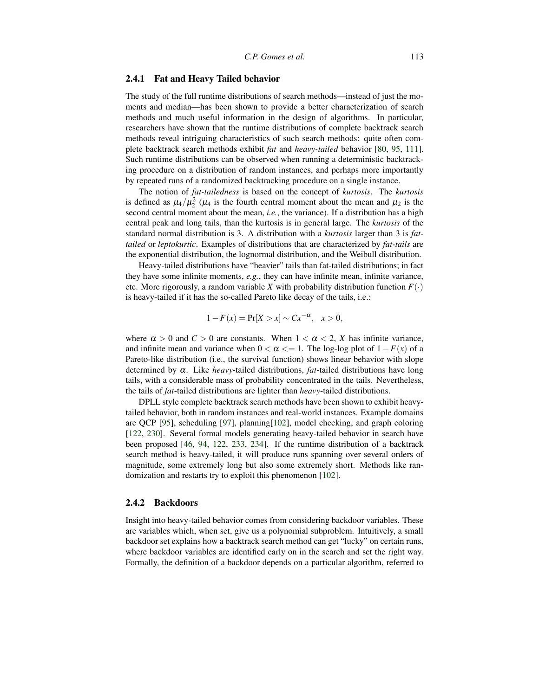#### **2.4.1 Fat and Heavy Tailed behavior**

The study of the full runtime distributions of search methods—instead of just the moments and median—has been shown to provide a better characterization of search methods and much useful information in the design of algorithms. In particular, researchers have shown that the runtime distributions of complete backtrack search methods reveal intriguing characteristics of such search methods: quite often complete backtrack search methods exhibit *fat* and *heavy-tailed* behavior [\[80,](#page-37-14) [95,](#page-37-13) [111\]](#page-38-12). Such runtime distributions can be observed when running a deterministic backtracking procedure on a distribution of random instances, and perhaps more importantly by repeated runs of a randomized backtracking procedure on a single instance.

The notion of *fat-tailedness* is based on the concept of *kurtosis*. The *kurtosis* is defined as  $\mu_4/\mu_2^2$  ( $\mu_4$  is the fourth central moment about the mean and  $\mu_2$  is the second central moment about the mean, *i.e.*, the variance). If a distribution has a high central peak and long tails, than the kurtosis is in general large. The *kurtosis* of the standard normal distribution is 3. A distribution with a *kurtosis* larger than 3 is *fattailed* or *leptokurtic*. Examples of distributions that are characterized by *fat-tails* are the exponential distribution, the lognormal distribution, and the Weibull distribution.

Heavy-tailed distributions have "heavier" tails than fat-tailed distributions; in fact they have some infinite moments, *e.g.*, they can have infinite mean, infinite variance, etc. More rigorously, a random variable X with probability distribution function  $F(\cdot)$ is heavy-tailed if it has the so-called Pareto like decay of the tails, i.e.:

$$
1 - F(x) = \Pr[X > x] \sim C x^{-\alpha}, \quad x > 0,
$$

where  $\alpha > 0$  and  $C > 0$  are constants. When  $1 < \alpha < 2$ , X has infinite variance, and infinite mean and variance when  $0 < \alpha \leq 1$ . The log-log plot of  $1 - F(x)$  of a Pareto-like distribution (i.e., the survival function) shows linear behavior with slope determined by <sup>α</sup>. Like *heavy*-tailed distributions, *fat*-tailed distributions have long tails, with a considerable mass of probability concentrated in the tails. Nevertheless, the tails of *fat*-tailed distributions are lighter than *heavy*-tailed distributions.

DPLL style complete backtrack search methods have been shown to exhibit heavytailed behavior, both in random instances and real-world instances. Example domains are QCP [\[95](#page-37-13)], scheduling [\[97](#page-38-13)], planning[\[102](#page-38-2)], model checking, and graph coloring [\[122,](#page-39-14) [230\]](#page-44-12). Several formal models generating heavy-tailed behavior in search have been proposed [\[46,](#page-35-17) [94](#page-37-15), [122,](#page-39-14) [233](#page-44-2), [234\]](#page-45-4). If the runtime distribution of a backtrack search method is heavy-tailed, it will produce runs spanning over several orders of magnitude, some extremely long but also some extremely short. Methods like randomization and restarts try to exploit this phenomenon [\[102](#page-38-2)].

#### **2.4.2 Backdoors**

Insight into heavy-tailed behavior comes from considering backdoor variables. These are variables which, when set, give us a polynomial subproblem. Intuitively, a small backdoor set explains how a backtrack search method can get "lucky" on certain runs, where backdoor variables are identified early on in the search and set the right way. Formally, the definition of a backdoor depends on a particular algorithm, referred to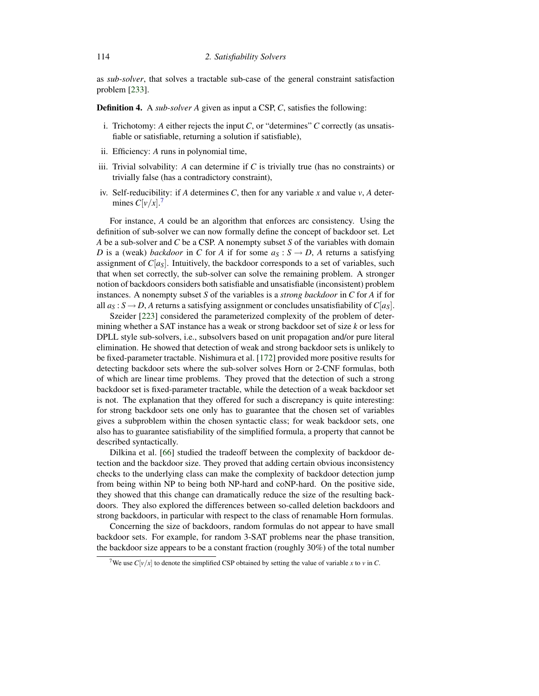as *sub-solver*, that solves a tractable sub-case of the general constraint satisfaction problem [\[233\]](#page-44-2).

**Definition 4.** A *sub-solver A* given as input a CSP, *C*, satisfies the following:

- i. Trichotomy: *A* either rejects the input *C*, or "determines" *C* correctly (as unsatisfiable or satisfiable, returning a solution if satisfiable),
- ii. Efficiency: *A* runs in polynomial time,
- iii. Trivial solvability: *A* can determine if *C* is trivially true (has no constraints) or trivially false (has a contradictory constraint),
- iv. Self-reducibility: if *A* determines *C*, then for any variable *x* and value *v*, *A* determines  $C[v/x]$ .<sup>[7](#page-25-0)</sup>

For instance, *A* could be an algorithm that enforces arc consistency. Using the definition of sub-solver we can now formally define the concept of backdoor set. Let *A* be a sub-solver and *C* be a CSP. A nonempty subset *S* of the variables with domain *D* is a (weak) *backdoor* in *C* for *A* if for some  $a<sub>S</sub>$  :  $S \rightarrow D$ , *A* returns a satisfying assignment of  $C|a_{\rm S}|$ . Intuitively, the backdoor corresponds to a set of variables, such that when set correctly, the sub-solver can solve the remaining problem. A stronger notion of backdoors considers both satisfiable and unsatisfiable (inconsistent) problem instances. A nonempty subset *S* of the variables is a *strong backdoor* in *C* for *A* if for all  $a_S : S \rightarrow D$ , *A* returns a satisfying assignment or concludes unsatisfiability of  $C[a_S]$ .

Szeider [\[223](#page-44-13)] considered the parameterized complexity of the problem of determining whether a SAT instance has a weak or strong backdoor set of size *k* or less for DPLL style sub-solvers, i.e., subsolvers based on unit propagation and/or pure literal elimination. He showed that detection of weak and strong backdoor sets is unlikely to be fixed-parameter tractable. Nishimura et al. [\[172\]](#page-41-17) provided more positive results for detecting backdoor sets where the sub-solver solves Horn or 2-CNF formulas, both of which are linear time problems. They proved that the detection of such a strong backdoor set is fixed-parameter tractable, while the detection of a weak backdoor set is not. The explanation that they offered for such a discrepancy is quite interesting: for strong backdoor sets one only has to guarantee that the chosen set of variables gives a subproblem within the chosen syntactic class; for weak backdoor sets, one also has to guarantee satisfiability of the simplified formula, a property that cannot be described syntactically.

Dilkina et al. [\[66\]](#page-36-15) studied the tradeoff between the complexity of backdoor detection and the backdoor size. They proved that adding certain obvious inconsistency checks to the underlying class can make the complexity of backdoor detection jump from being within NP to being both NP-hard and coNP-hard. On the positive side, they showed that this change can dramatically reduce the size of the resulting backdoors. They also explored the differences between so-called deletion backdoors and strong backdoors, in particular with respect to the class of renamable Horn formulas.

<span id="page-25-0"></span>Concerning the size of backdoors, random formulas do not appear to have small backdoor sets. For example, for random 3-SAT problems near the phase transition, the backdoor size appears to be a constant fraction (roughly 30%) of the total number

<sup>&</sup>lt;sup>7</sup>We use  $C[v/x]$  to denote the simplified CSP obtained by setting the value of variable *x* to *v* in *C*.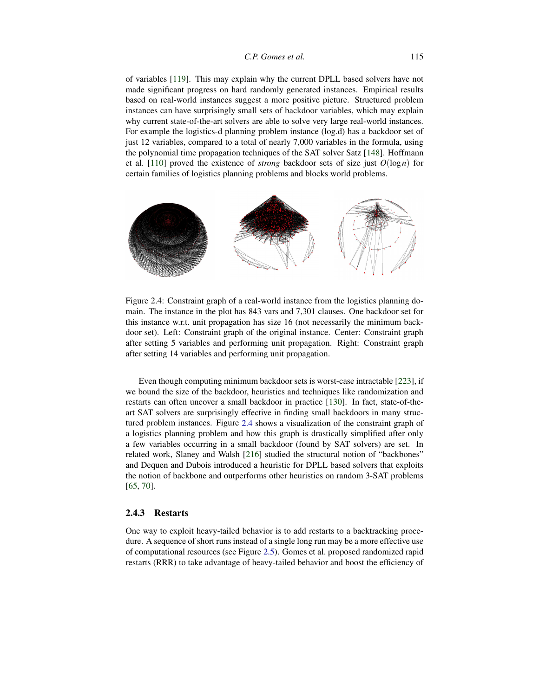of variables [\[119](#page-39-15)]. This may explain why the current DPLL based solvers have not made significant progress on hard randomly generated instances. Empirical results based on real-world instances suggest a more positive picture. Structured problem instances can have surprisingly small sets of backdoor variables, which may explain why current state-of-the-art solvers are able to solve very large real-world instances. For example the logistics-d planning problem instance (log.d) has a backdoor set of just 12 variables, compared to a total of nearly 7,000 variables in the formula, using the polynomial time propagation techniques of the SAT solver Satz [\[148\]](#page-40-15). Hoffmann et al. [\[110\]](#page-38-14) proved the existence of *strong* backdoor sets of size just *O*(log*n*) for certain families of logistics planning problems and blocks world problems.



Figure 2.4: Constraint graph of a real-world instance from the logistics planning domain. The instance in the plot has 843 vars and 7,301 clauses. One backdoor set for this instance w.r.t. unit propagation has size 16 (not necessarily the minimum backdoor set). Left: Constraint graph of the original instance. Center: Constraint graph after setting 5 variables and performing unit propagation. Right: Constraint graph after setting 14 variables and performing unit propagation.

<span id="page-26-0"></span>Even though computing minimum backdoor sets is worst-case intractable [\[223](#page-44-13)], if we bound the size of the backdoor, heuristics and techniques like randomization and restarts can often uncover a small backdoor in practice [\[130\]](#page-39-16). In fact, state-of-theart SAT solvers are surprisingly effective in finding small backdoors in many structured problem instances. Figure [2.4](#page-26-0) shows a visualization of the constraint graph of a logistics planning problem and how this graph is drastically simplified after only a few variables occurring in a small backdoor (found by SAT solvers) are set. In related work, Slaney and Walsh [\[216](#page-44-14)] studied the structural notion of "backbones" and Dequen and Dubois introduced a heuristic for DPLL based solvers that exploits the notion of backbone and outperforms other heuristics on random 3-SAT problems [\[65](#page-36-16), [70\]](#page-36-17).

## **2.4.3 Restarts**

One way to exploit heavy-tailed behavior is to add restarts to a backtracking procedure. A sequence of short runs instead of a single long run may be a more effective use of computational resources (see Figure [2.5\)](#page-27-0). Gomes et al. proposed randomized rapid restarts (RRR) to take advantage of heavy-tailed behavior and boost the efficiency of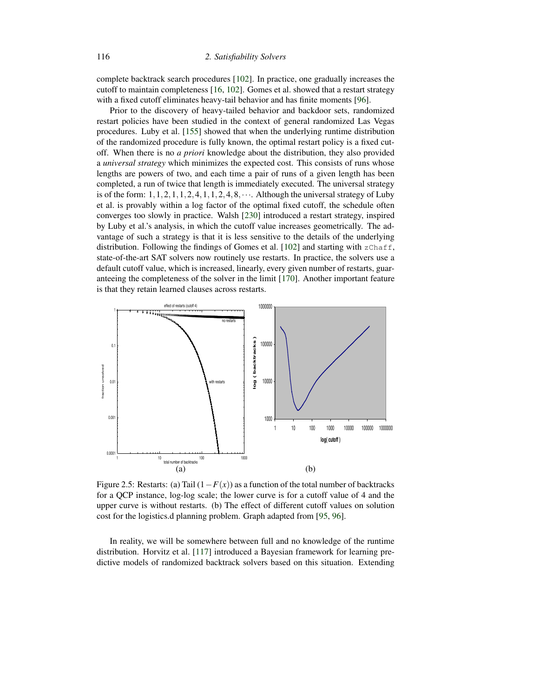complete backtrack search procedures [\[102](#page-38-2)]. In practice, one gradually increases the cutoff to maintain completeness [\[16](#page-33-4), [102](#page-38-2)]. Gomes et al. showed that a restart strategy with a fixed cutoff eliminates heavy-tail behavior and has finite moments [\[96\]](#page-38-15).

Prior to the discovery of heavy-tailed behavior and backdoor sets, randomized restart policies have been studied in the context of general randomized Las Vegas procedures. Luby et al. [\[155\]](#page-41-18) showed that when the underlying runtime distribution of the randomized procedure is fully known, the optimal restart policy is a fixed cutoff. When there is no *a priori* knowledge about the distribution, they also provided a *universal strategy* which minimizes the expected cost. This consists of runs whose lengths are powers of two, and each time a pair of runs of a given length has been completed, a run of twice that length is immediately executed. The universal strategy is of the form:  $1, 1, 2, 1, 1, 2, 4, 1, 1, 2, 4, 8, \cdots$ . Although the universal strategy of Luby et al. is provably within a log factor of the optimal fixed cutoff, the schedule often converges too slowly in practice. Walsh [\[230\]](#page-44-12) introduced a restart strategy, inspired by Luby et al.'s analysis, in which the cutoff value increases geometrically. The advantage of such a strategy is that it is less sensitive to the details of the underlying distribution. Following the findings of Gomes et al. [\[102\]](#page-38-2) and starting with  $z$ Chaff, state-of-the-art SAT solvers now routinely use restarts. In practice, the solvers use a default cutoff value, which is increased, linearly, every given number of restarts, guaranteeing the completeness of the solver in the limit [\[170\]](#page-41-2). Another important feature is that they retain learned clauses across restarts.



<span id="page-27-0"></span>Figure 2.5: Restarts: (a) Tail (1−*F*(*x*)) as a function of the total number of backtracks for a QCP instance, log-log scale; the lower curve is for a cutoff value of 4 and the upper curve is without restarts. (b) The effect of different cutoff values on solution cost for the logistics.d planning problem. Graph adapted from [\[95](#page-37-13), [96](#page-38-15)].

In reality, we will be somewhere between full and no knowledge of the runtime distribution. Horvitz et al. [\[117](#page-39-17)] introduced a Bayesian framework for learning predictive models of randomized backtrack solvers based on this situation. Extending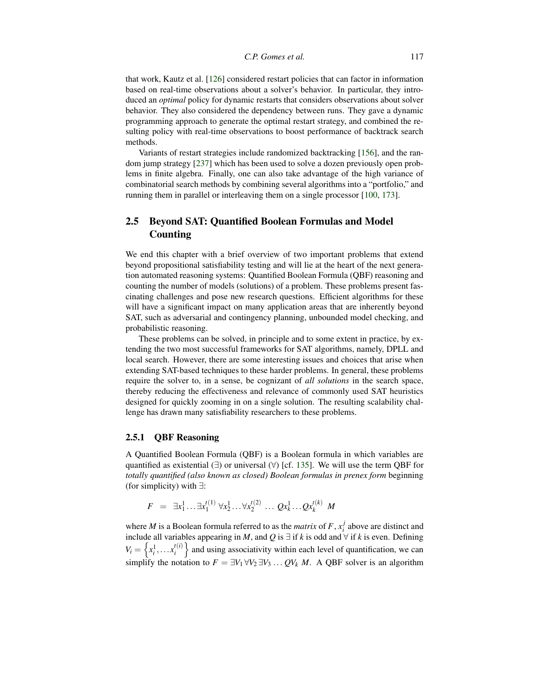that work, Kautz et al. [\[126](#page-39-18)] considered restart policies that can factor in information based on real-time observations about a solver's behavior. In particular, they introduced an *optimal* policy for dynamic restarts that considers observations about solver behavior. They also considered the dependency between runs. They gave a dynamic programming approach to generate the optimal restart strategy, and combined the resulting policy with real-time observations to boost performance of backtrack search methods.

Variants of restart strategies include randomized backtracking [\[156](#page-41-19)], and the random jump strategy [\[237\]](#page-45-5) which has been used to solve a dozen previously open problems in finite algebra. Finally, one can also take advantage of the high variance of combinatorial search methods by combining several algorithms into a "portfolio," and running them in parallel or interleaving them on a single processor [\[100,](#page-38-16) [173\]](#page-41-4).

## **2.5 Beyond SAT: Quantified Boolean Formulas and Model Counting**

We end this chapter with a brief overview of two important problems that extend beyond propositional satisfiability testing and will lie at the heart of the next generation automated reasoning systems: Quantified Boolean Formula (QBF) reasoning and counting the number of models (solutions) of a problem. These problems present fascinating challenges and pose new research questions. Efficient algorithms for these will have a significant impact on many application areas that are inherently beyond SAT, such as adversarial and contingency planning, unbounded model checking, and probabilistic reasoning.

These problems can be solved, in principle and to some extent in practice, by extending the two most successful frameworks for SAT algorithms, namely, DPLL and local search. However, there are some interesting issues and choices that arise when extending SAT-based techniques to these harder problems. In general, these problems require the solver to, in a sense, be cognizant of *all solutions* in the search space, thereby reducing the effectiveness and relevance of commonly used SAT heuristics designed for quickly zooming in on a single solution. The resulting scalability challenge has drawn many satisfiability researchers to these problems.

#### **2.5.1 QBF Reasoning**

A Quantified Boolean Formula (QBF) is a Boolean formula in which variables are quantified as existential  $\exists$  or universal  $\forall$  [cf. [135](#page-40-16)]. We will use the term QBF for *totally quantified (also known as closed) Boolean formulas in prenex form* beginning (for simplicity) with ∃:

$$
F = \exists x_1^1 \dots \exists x_1^{t(1)} \forall x_2^1 \dots \forall x_2^{t(2)} \dots Q_x^1 \dots Q_x^{t(k)} M
$$

where *M* is a Boolean formula referred to as the *matrix* of *F*,  $x_i^j$  above are distinct and include all variables appearing in *M*, and *Q* is ∃ if *k* is odd and ∀ if *k* is even. Defining  $V_i = \left\{ x_i^1, \ldots, x_i^{t(i)} \right\}$  and using associativity within each level of quantification, we can simplify the notation to  $F = \exists V_1 \forall V_2 \exists V_3 \dots QV_k M$ . A QBF solver is an algorithm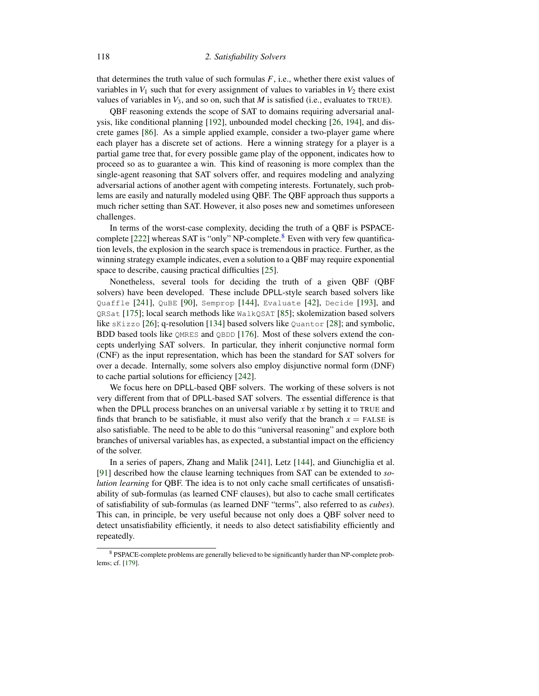that determines the truth value of such formulas  $F$ , i.e., whether there exist values of variables in  $V_1$  such that for every assignment of values to variables in  $V_2$  there exist values of variables in  $V_3$ , and so on, such that  $M$  is satisfied (i.e., evaluates to TRUE).

QBF reasoning extends the scope of SAT to domains requiring adversarial analysis, like conditional planning [\[192\]](#page-42-15), unbounded model checking [\[26](#page-34-13), [194\]](#page-42-16), and discrete games [\[86](#page-37-16)]. As a simple applied example, consider a two-player game where each player has a discrete set of actions. Here a winning strategy for a player is a partial game tree that, for every possible game play of the opponent, indicates how to proceed so as to guarantee a win. This kind of reasoning is more complex than the single-agent reasoning that SAT solvers offer, and requires modeling and analyzing adversarial actions of another agent with competing interests. Fortunately, such problems are easily and naturally modeled using QBF. The QBF approach thus supports a much richer setting than SAT. However, it also poses new and sometimes unforeseen challenges.

In terms of the worst-case complexity, deciding the truth of a QBF is PSPACEcomplete  $[222]$  whereas SAT is "only" NP-complete.<sup>[8](#page-29-0)</sup> Even with very few quantification levels, the explosion in the search space is tremendous in practice. Further, as the winning strategy example indicates, even a solution to a QBF may require exponential space to describe, causing practical difficulties [\[25\]](#page-34-14).

Nonetheless, several tools for deciding the truth of a given QBF (QBF solvers) have been developed. These include DPLL-style search based solvers like Quaffle [\[241\]](#page-45-6), QuBE [\[90\]](#page-37-17), Semprop [\[144\]](#page-40-17), Evaluate [\[42](#page-35-18)], Decide [\[193](#page-42-17)], and QRSat [\[175\]](#page-42-18); local search methods like WalkQSAT [\[85](#page-37-18)]; skolemization based solvers like sKizzo [\[26](#page-34-13)]; q-resolution [\[134](#page-40-18)] based solvers like Quantor [\[28](#page-34-15)]; and symbolic, BDD based tools like QMRES and QBDD [\[176](#page-42-19)]. Most of these solvers extend the concepts underlying SAT solvers. In particular, they inherit conjunctive normal form (CNF) as the input representation, which has been the standard for SAT solvers for over a decade. Internally, some solvers also employ disjunctive normal form (DNF) to cache partial solutions for efficiency [\[242](#page-45-7)].

We focus here on DPLL-based QBF solvers. The working of these solvers is not very different from that of DPLL-based SAT solvers. The essential difference is that when the DPLL process branches on an universal variable *x* by setting it to TRUE and finds that branch to be satisfiable, it must also verify that the branch  $x =$  FALSE is also satisfiable. The need to be able to do this "universal reasoning" and explore both branches of universal variables has, as expected, a substantial impact on the efficiency of the solver.

In a series of papers, Zhang and Malik [\[241\]](#page-45-6), Letz [\[144\]](#page-40-17), and Giunchiglia et al. [\[91](#page-37-19)] described how the clause learning techniques from SAT can be extended to *solution learning* for QBF. The idea is to not only cache small certificates of unsatisfiability of sub-formulas (as learned CNF clauses), but also to cache small certificates of satisfiability of sub-formulas (as learned DNF "terms", also referred to as *cubes*). This can, in principle, be very useful because not only does a QBF solver need to detect unsatisfiability efficiently, it needs to also detect satisfiability efficiently and repeatedly.

<span id="page-29-0"></span><sup>8</sup> PSPACE-complete problems are generally believed to be significantly harder than NP-complete problems; cf. [\[179\]](#page-42-20).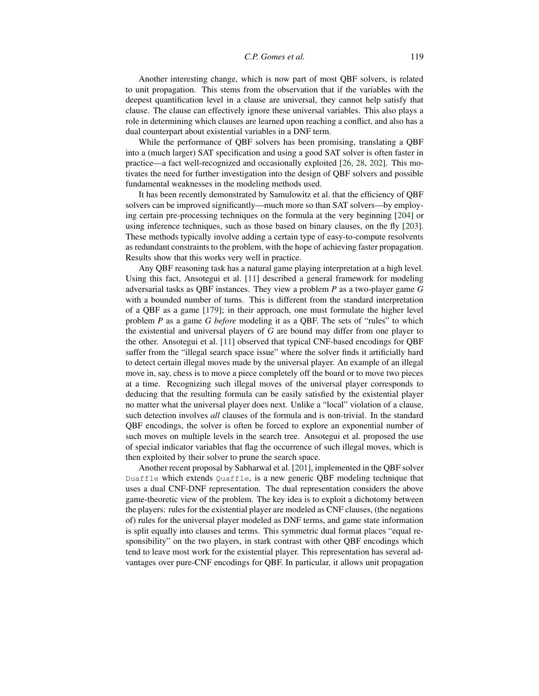#### *C.P. Gomes et al.* 119

Another interesting change, which is now part of most QBF solvers, is related to unit propagation. This stems from the observation that if the variables with the deepest quantification level in a clause are universal, they cannot help satisfy that clause. The clause can effectively ignore these universal variables. This also plays a role in determining which clauses are learned upon reaching a conflict, and also has a dual counterpart about existential variables in a DNF term.

While the performance of QBF solvers has been promising, translating a QBF into a (much larger) SAT specification and using a good SAT solver is often faster in practice—a fact well-recognized and occasionally exploited [\[26](#page-34-13), [28,](#page-34-15) [202\]](#page-43-13). This motivates the need for further investigation into the design of QBF solvers and possible fundamental weaknesses in the modeling methods used.

It has been recently demonstrated by Samulowitz et al. that the efficiency of QBF solvers can be improved significantly—much more so than SAT solvers—by employing certain pre-processing techniques on the formula at the very beginning [\[204\]](#page-43-14) or using inference techniques, such as those based on binary clauses, on the fly [\[203\]](#page-43-15). These methods typically involve adding a certain type of easy-to-compute resolvents as redundant constraints to the problem, with the hope of achieving faster propagation. Results show that this works very well in practice.

Any QBF reasoning task has a natural game playing interpretation at a high level. Using this fact, Ansotegui et al. [\[11\]](#page-33-14) described a general framework for modeling adversarial tasks as QBF instances. They view a problem *P* as a two-player game *G* with a bounded number of turns. This is different from the standard interpretation of a QBF as a game [\[179\]](#page-42-20); in their approach, one must formulate the higher level problem *P* as a game *G before* modeling it as a QBF. The sets of "rules" to which the existential and universal players of *G* are bound may differ from one player to the other. Ansotegui et al. [\[11\]](#page-33-14) observed that typical CNF-based encodings for QBF suffer from the "illegal search space issue" where the solver finds it artificially hard to detect certain illegal moves made by the universal player. An example of an illegal move in, say, chess is to move a piece completely off the board or to move two pieces at a time. Recognizing such illegal moves of the universal player corresponds to deducing that the resulting formula can be easily satisfied by the existential player no matter what the universal player does next. Unlike a "local" violation of a clause, such detection involves *all* clauses of the formula and is non-trivial. In the standard QBF encodings, the solver is often be forced to explore an exponential number of such moves on multiple levels in the search tree. Ansotegui et al. proposed the use of special indicator variables that flag the occurrence of such illegal moves, which is then exploited by their solver to prune the search space.

Another recent proposal by Sabharwal et al. [\[201](#page-43-16)], implemented in the QBF solver Duaffle which extends Quaffle, is a new generic QBF modeling technique that uses a dual CNF-DNF representation. The dual representation considers the above game-theoretic view of the problem. The key idea is to exploit a dichotomy between the players: rules for the existential player are modeled as CNF clauses, (the negations of) rules for the universal player modeled as DNF terms, and game state information is split equally into clauses and terms. This symmetric dual format places "equal responsibility" on the two players, in stark contrast with other QBF encodings which tend to leave most work for the existential player. This representation has several advantages over pure-CNF encodings for QBF. In particular, it allows unit propagation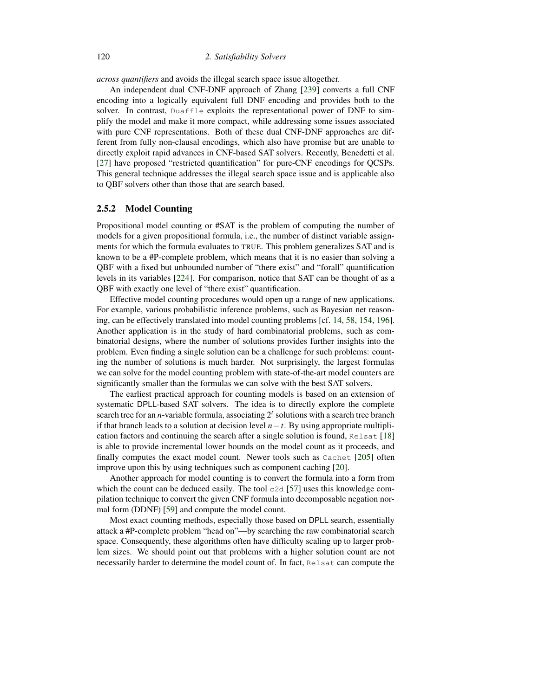*across quantifiers* and avoids the illegal search space issue altogether.

An independent dual CNF-DNF approach of Zhang [\[239\]](#page-45-8) converts a full CNF encoding into a logically equivalent full DNF encoding and provides both to the solver. In contrast, Duaffle exploits the representational power of DNF to simplify the model and make it more compact, while addressing some issues associated with pure CNF representations. Both of these dual CNF-DNF approaches are different from fully non-clausal encodings, which also have promise but are unable to directly exploit rapid advances in CNF-based SAT solvers. Recently, Benedetti et al. [\[27](#page-34-16)] have proposed "restricted quantification" for pure-CNF encodings for QCSPs. This general technique addresses the illegal search space issue and is applicable also to QBF solvers other than those that are search based.

#### **2.5.2 Model Counting**

Propositional model counting or #SAT is the problem of computing the number of models for a given propositional formula, i.e., the number of distinct variable assignments for which the formula evaluates to TRUE. This problem generalizes SAT and is known to be a #P-complete problem, which means that it is no easier than solving a QBF with a fixed but unbounded number of "there exist" and "forall" quantification levels in its variables [\[224](#page-44-16)]. For comparison, notice that SAT can be thought of as a QBF with exactly one level of "there exist" quantification.

Effective model counting procedures would open up a range of new applications. For example, various probabilistic inference problems, such as Bayesian net reasoning, can be effectively translated into model counting problems [cf. [14](#page-33-15), [58](#page-36-18), [154,](#page-41-20) [196\]](#page-43-17). Another application is in the study of hard combinatorial problems, such as combinatorial designs, where the number of solutions provides further insights into the problem. Even finding a single solution can be a challenge for such problems: counting the number of solutions is much harder. Not surprisingly, the largest formulas we can solve for the model counting problem with state-of-the-art model counters are significantly smaller than the formulas we can solve with the best SAT solvers.

The earliest practical approach for counting models is based on an extension of systematic DPLL-based SAT solvers. The idea is to directly explore the complete search tree for an *n*-variable formula, associating  $2<sup>t</sup>$  solutions with a search tree branch if that branch leads to a solution at decision level *n*−*t*. By using appropriate multiplication factors and continuing the search after a single solution is found, Relsat [\[18](#page-34-17)] is able to provide incremental lower bounds on the model count as it proceeds, and finally computes the exact model count. Newer tools such as Cachet [\[205](#page-43-18)] often improve upon this by using techniques such as component caching [\[20](#page-34-9)].

Another approach for model counting is to convert the formula into a form from which the count can be deduced easily. The tool  $c2d$  [\[57\]](#page-36-19) uses this knowledge compilation technique to convert the given CNF formula into decomposable negation normal form (DDNF) [\[59\]](#page-36-20) and compute the model count.

Most exact counting methods, especially those based on DPLL search, essentially attack a #P-complete problem "head on"—by searching the raw combinatorial search space. Consequently, these algorithms often have difficulty scaling up to larger problem sizes. We should point out that problems with a higher solution count are not necessarily harder to determine the model count of. In fact, Relsat can compute the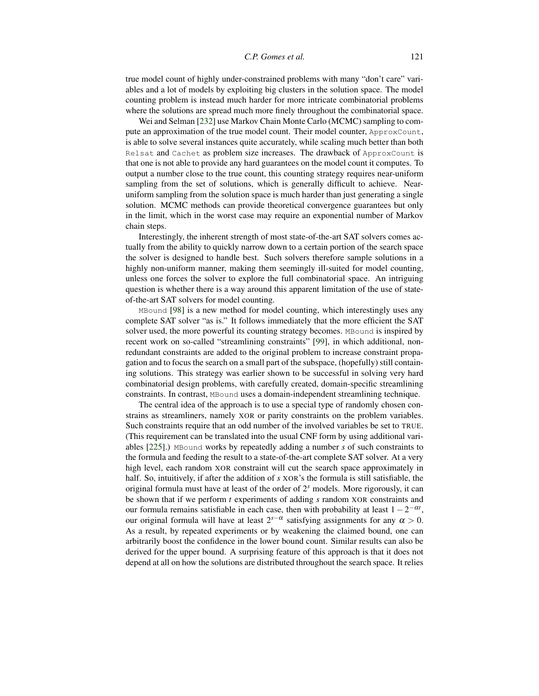#### *C.P. Gomes et al.* 121

true model count of highly under-constrained problems with many "don't care" variables and a lot of models by exploiting big clusters in the solution space. The model counting problem is instead much harder for more intricate combinatorial problems where the solutions are spread much more finely throughout the combinatorial space.

Wei and Selman [\[232\]](#page-44-17) use Markov Chain Monte Carlo (MCMC) sampling to compute an approximation of the true model count. Their model counter, ApproxCount, is able to solve several instances quite accurately, while scaling much better than both Relsat and Cachet as problem size increases. The drawback of ApproxCount is that one is not able to provide any hard guarantees on the model count it computes. To output a number close to the true count, this counting strategy requires near-uniform sampling from the set of solutions, which is generally difficult to achieve. Nearuniform sampling from the solution space is much harder than just generating a single solution. MCMC methods can provide theoretical convergence guarantees but only in the limit, which in the worst case may require an exponential number of Markov chain steps.

Interestingly, the inherent strength of most state-of-the-art SAT solvers comes actually from the ability to quickly narrow down to a certain portion of the search space the solver is designed to handle best. Such solvers therefore sample solutions in a highly non-uniform manner, making them seemingly ill-suited for model counting, unless one forces the solver to explore the full combinatorial space. An intriguing question is whether there is a way around this apparent limitation of the use of stateof-the-art SAT solvers for model counting.

MBound [\[98](#page-38-17)] is a new method for model counting, which interestingly uses any complete SAT solver "as is." It follows immediately that the more efficient the SAT solver used, the more powerful its counting strategy becomes. MBound is inspired by recent work on so-called "streamlining constraints" [\[99\]](#page-38-18), in which additional, nonredundant constraints are added to the original problem to increase constraint propagation and to focus the search on a small part of the subspace, (hopefully) still containing solutions. This strategy was earlier shown to be successful in solving very hard combinatorial design problems, with carefully created, domain-specific streamlining constraints. In contrast, MBound uses a domain-independent streamlining technique.

The central idea of the approach is to use a special type of randomly chosen constrains as streamliners, namely XOR or parity constraints on the problem variables. Such constraints require that an odd number of the involved variables be set to TRUE. (This requirement can be translated into the usual CNF form by using additional variables [\[225](#page-44-4)].) MBound works by repeatedly adding a number *s* of such constraints to the formula and feeding the result to a state-of-the-art complete SAT solver. At a very high level, each random XOR constraint will cut the search space approximately in half. So, intuitively, if after the addition of *s* XOR's the formula is still satisfiable, the original formula must have at least of the order of 2 *<sup>s</sup>* models. More rigorously, it can be shown that if we perform *t* experiments of adding *s* random XOR constraints and our formula remains satisfiable in each case, then with probability at least  $1 - 2^{-\alpha t}$ , our original formula will have at least  $2^{s-\alpha}$  satisfying assignments for any  $\alpha > 0$ . As a result, by repeated experiments or by weakening the claimed bound, one can arbitrarily boost the confidence in the lower bound count. Similar results can also be derived for the upper bound. A surprising feature of this approach is that it does not depend at all on how the solutions are distributed throughout the search space. It relies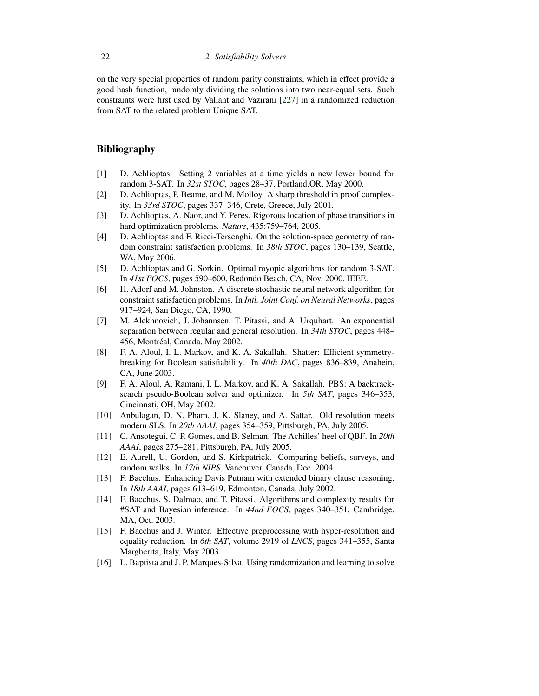on the very special properties of random parity constraints, which in effect provide a good hash function, randomly dividing the solutions into two near-equal sets. Such constraints were first used by Valiant and Vazirani [\[227\]](#page-44-18) in a randomized reduction from SAT to the related problem Unique SAT.

## **Bibliography**

- <span id="page-33-9"></span>[1] D. Achlioptas. Setting 2 variables at a time yields a new lower bound for random 3-SAT. In *32st STOC*, pages 28–37, Portland,OR, May 2000.
- <span id="page-33-3"></span>[2] D. Achlioptas, P. Beame, and M. Molloy. A sharp threshold in proof complexity. In *33rd STOC*, pages 337–346, Crete, Greece, July 2001.
- <span id="page-33-11"></span>[3] D. Achlioptas, A. Naor, and Y. Peres. Rigorous location of phase transitions in hard optimization problems. *Nature*, 435:759–764, 2005.
- <span id="page-33-12"></span>[4] D. Achlioptas and F. Ricci-Tersenghi. On the solution-space geometry of random constraint satisfaction problems. In *38th STOC*, pages 130–139, Seattle, WA, May 2006.
- <span id="page-33-10"></span>[5] D. Achlioptas and G. Sorkin. Optimal myopic algorithms for random 3-SAT. In *41st FOCS*, pages 590–600, Redondo Beach, CA, Nov. 2000. IEEE.
- <span id="page-33-8"></span>[6] H. Adorf and M. Johnston. A discrete stochastic neural network algorithm for constraint satisfaction problems. In *Intl. Joint Conf. on Neural Networks*, pages 917–924, San Diego, CA, 1990.
- <span id="page-33-2"></span>[7] M. Alekhnovich, J. Johannsen, T. Pitassi, and A. Urquhart. An exponential separation between regular and general resolution. In *34th STOC*, pages 448– 456, Montréal, Canada, May 2002.
- <span id="page-33-5"></span>[8] F. A. Aloul, I. L. Markov, and K. A. Sakallah. Shatter: Efficient symmetrybreaking for Boolean satisfiability. In *40th DAC*, pages 836–839, Anahein, CA, June 2003.
- <span id="page-33-6"></span>[9] F. A. Aloul, A. Ramani, I. L. Markov, and K. A. Sakallah. PBS: A backtracksearch pseudo-Boolean solver and optimizer. In *5th SAT*, pages 346–353, Cincinnati, OH, May 2002.
- <span id="page-33-7"></span>[10] Anbulagan, D. N. Pham, J. K. Slaney, and A. Sattar. Old resolution meets modern SLS. In *20th AAAI*, pages 354–359, Pittsburgh, PA, July 2005.
- <span id="page-33-14"></span>[11] C. Ansotegui, C. P. Gomes, and B. Selman. The Achilles' heel of QBF. In *20th AAAI*, pages 275–281, Pittsburgh, PA, July 2005.
- <span id="page-33-13"></span>[12] E. Aurell, U. Gordon, and S. Kirkpatrick. Comparing beliefs, surveys, and random walks. In *17th NIPS*, Vancouver, Canada, Dec. 2004.
- <span id="page-33-0"></span>[13] F. Bacchus. Enhancing Davis Putnam with extended binary clause reasoning. In *18th AAAI*, pages 613–619, Edmonton, Canada, July 2002.
- <span id="page-33-15"></span>[14] F. Bacchus, S. Dalmao, and T. Pitassi. Algorithms and complexity results for #SAT and Bayesian inference. In *44nd FOCS*, pages 340–351, Cambridge, MA, Oct. 2003.
- <span id="page-33-1"></span>[15] F. Bacchus and J. Winter. Effective preprocessing with hyper-resolution and equality reduction. In *6th SAT*, volume 2919 of *LNCS*, pages 341–355, Santa Margherita, Italy, May 2003.
- <span id="page-33-4"></span>[16] L. Baptista and J. P. Marques-Silva. Using randomization and learning to solve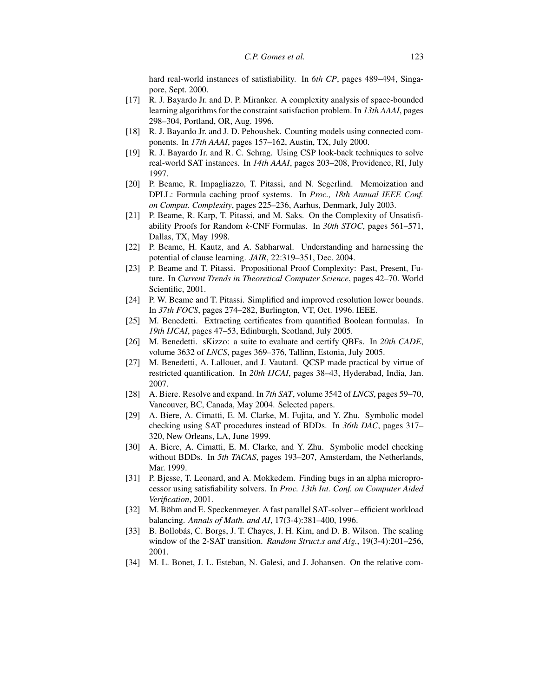hard real-world instances of satisfiability. In *6th CP*, pages 489–494, Singapore, Sept. 2000.

- <span id="page-34-5"></span>[17] R. J. Bayardo Jr. and D. P. Miranker. A complexity analysis of space-bounded learning algorithms for the constraint satisfaction problem. In *13th AAAI*, pages 298–304, Portland, OR, Aug. 1996.
- <span id="page-34-17"></span>[18] R. J. Bayardo Jr. and J. D. Pehoushek. Counting models using connected components. In *17th AAAI*, pages 157–162, Austin, TX, July 2000.
- <span id="page-34-2"></span>[19] R. J. Bayardo Jr. and R. C. Schrag. Using CSP look-back techniques to solve real-world SAT instances. In *14th AAAI*, pages 203–208, Providence, RI, July 1997.
- <span id="page-34-9"></span>[20] P. Beame, R. Impagliazzo, T. Pitassi, and N. Segerlind. Memoization and DPLL: Formula caching proof systems. In *Proc., 18th Annual IEEE Conf. on Comput. Complexity*, pages 225–236, Aarhus, Denmark, July 2003.
- <span id="page-34-10"></span>[21] P. Beame, R. Karp, T. Pitassi, and M. Saks. On the Complexity of Unsatisfiability Proofs for Random *k*-CNF Formulas. In *30th STOC*, pages 561–571, Dallas, TX, May 1998.
- <span id="page-34-6"></span>[22] P. Beame, H. Kautz, and A. Sabharwal. Understanding and harnessing the potential of clause learning. *JAIR*, 22:319–351, Dec. 2004.
- <span id="page-34-7"></span>[23] P. Beame and T. Pitassi. Propositional Proof Complexity: Past, Present, Future. In *Current Trends in Theoretical Computer Science*, pages 42–70. World Scientific, 2001.
- <span id="page-34-11"></span>[24] P. W. Beame and T. Pitassi. Simplified and improved resolution lower bounds. In *37th FOCS*, pages 274–282, Burlington, VT, Oct. 1996. IEEE.
- <span id="page-34-14"></span>[25] M. Benedetti. Extracting certificates from quantified Boolean formulas. In *19th IJCAI*, pages 47–53, Edinburgh, Scotland, July 2005.
- <span id="page-34-13"></span>[26] M. Benedetti. sKizzo: a suite to evaluate and certify QBFs. In *20th CADE*, volume 3632 of *LNCS*, pages 369–376, Tallinn, Estonia, July 2005.
- <span id="page-34-16"></span>[27] M. Benedetti, A. Lallouet, and J. Vautard. QCSP made practical by virtue of restricted quantification. In *20th IJCAI*, pages 38–43, Hyderabad, India, Jan. 2007.
- <span id="page-34-15"></span>[28] A. Biere. Resolve and expand. In *7th SAT*, volume 3542 of *LNCS*, pages 59–70, Vancouver, BC, Canada, May 2004. Selected papers.
- <span id="page-34-0"></span>[29] A. Biere, A. Cimatti, E. M. Clarke, M. Fujita, and Y. Zhu. Symbolic model checking using SAT procedures instead of BDDs. In *36th DAC*, pages 317– 320, New Orleans, LA, June 1999.
- <span id="page-34-3"></span>[30] A. Biere, A. Cimatti, E. M. Clarke, and Y. Zhu. Symbolic model checking without BDDs. In *5th TACAS*, pages 193–207, Amsterdam, the Netherlands, Mar. 1999.
- <span id="page-34-1"></span>[31] P. Bjesse, T. Leonard, and A. Mokkedem. Finding bugs in an alpha microprocessor using satisfiability solvers. In *Proc. 13th Int. Conf. on Computer Aided Verification*, 2001.
- <span id="page-34-4"></span>[32] M. Böhm and E. Speckenmeyer. A fast parallel SAT-solver – efficient workload balancing. *Annals of Math. and AI*, 17(3-4):381–400, 1996.
- <span id="page-34-12"></span>[33] B. Bollobás, C. Borgs, J. T. Chayes, J. H. Kim, and D. B. Wilson. The scaling window of the 2-SAT transition. *Random Struct.s and Alg.*, 19(3-4):201–256, 2001.
- <span id="page-34-8"></span>[34] M. L. Bonet, J. L. Esteban, N. Galesi, and J. Johansen. On the relative com-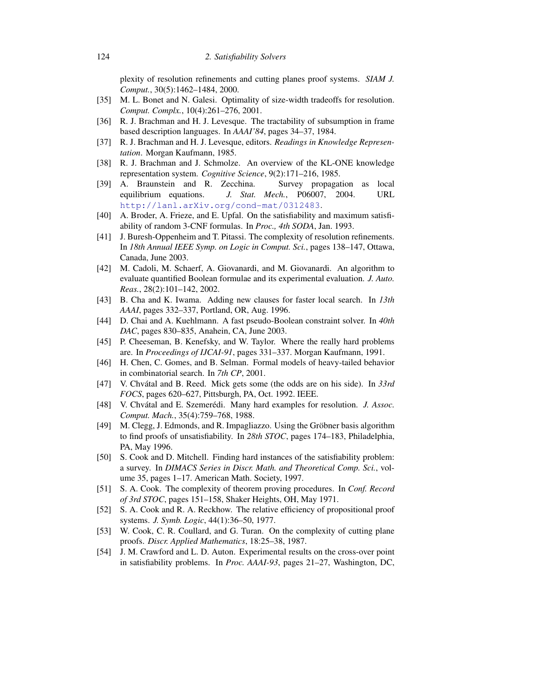plexity of resolution refinements and cutting planes proof systems. *SIAM J. Comput.*, 30(5):1462–1484, 2000.

- <span id="page-35-4"></span>[35] M. L. Bonet and N. Galesi. Optimality of size-width tradeoffs for resolution. *Comput. Complx.*, 10(4):261–276, 2001.
- <span id="page-35-0"></span>[36] R. J. Brachman and H. J. Levesque. The tractability of subsumption in frame based description languages. In *AAAI'84*, pages 34–37, 1984.
- [37] R. J. Brachman and H. J. Levesque, editors. *Readings in Knowledge Representation*. Morgan Kaufmann, 1985.
- <span id="page-35-1"></span>[38] R. J. Brachman and J. Schmolze. An overview of the KL-ONE knowledge representation system. *Cognitive Science*, 9(2):171–216, 1985.
- <span id="page-35-16"></span>[39] A. Braunstein and R. Zecchina. Survey propagation as local equilibrium equations. *J. Stat. Mech.*, P06007, 2004. URL <http://lanl.arXiv.org/cond-mat/0312483>.
- <span id="page-35-14"></span>[40] A. Broder, A. Frieze, and E. Upfal. On the satisfiability and maximum satisfiability of random 3-CNF formulas. In *Proc., 4th SODA*, Jan. 1993.
- <span id="page-35-5"></span>[41] J. Buresh-Oppenheim and T. Pitassi. The complexity of resolution refinements. In *18th Annual IEEE Symp. on Logic in Comput. Sci.*, pages 138–147, Ottawa, Canada, June 2003.
- <span id="page-35-18"></span>[42] M. Cadoli, M. Schaerf, A. Giovanardi, and M. Giovanardi. An algorithm to evaluate quantified Boolean formulae and its experimental evaluation. *J. Auto. Reas.*, 28(2):101–142, 2002.
- <span id="page-35-8"></span>[43] B. Cha and K. Iwama. Adding new clauses for faster local search. In *13th AAAI*, pages 332–337, Portland, OR, Aug. 1996.
- <span id="page-35-6"></span>[44] D. Chai and A. Kuehlmann. A fast pseudo-Boolean constraint solver. In *40th DAC*, pages 830–835, Anahein, CA, June 2003.
- <span id="page-35-10"></span>[45] P. Cheeseman, B. Kenefsky, and W. Taylor. Where the really hard problems are. In *Proceedings of IJCAI-91*, pages 331–337. Morgan Kaufmann, 1991.
- <span id="page-35-17"></span>[46] H. Chen, C. Gomes, and B. Selman. Formal models of heavy-tailed behavior in combinatorial search. In *7th CP*, 2001.
- <span id="page-35-15"></span>[47] V. Chvátal and B. Reed. Mick gets some (the odds are on his side). In 33rd *FOCS*, pages 620–627, Pittsburgh, PA, Oct. 1992. IEEE.
- <span id="page-35-12"></span>[48] V. Chvátal and E. Szemerédi. Many hard examples for resolution. *J. Assoc. Comput. Mach.*, 35(4):759–768, 1988.
- <span id="page-35-13"></span>[49] M. Clegg, J. Edmonds, and R. Impagliazzo. Using the Gröbner basis algorithm to find proofs of unsatisfiability. In *28th STOC*, pages 174–183, Philadelphia, PA, May 1996.
- <span id="page-35-11"></span>[50] S. Cook and D. Mitchell. Finding hard instances of the satisfiability problem: a survey. In *DIMACS Series in Discr. Math. and Theoretical Comp. Sci.*, volume 35, pages 1–17. American Math. Society, 1997.
- <span id="page-35-2"></span>[51] S. A. Cook. The complexity of theorem proving procedures. In *Conf. Record of 3rd STOC*, pages 151–158, Shaker Heights, OH, May 1971.
- <span id="page-35-3"></span>[52] S. A. Cook and R. A. Reckhow. The relative efficiency of propositional proof systems. *J. Symb. Logic*, 44(1):36–50, 1977.
- <span id="page-35-7"></span>[53] W. Cook, C. R. Coullard, and G. Turan. On the complexity of cutting plane proofs. *Discr. Applied Mathematics*, 18:25–38, 1987.
- <span id="page-35-9"></span>[54] J. M. Crawford and L. D. Auton. Experimental results on the cross-over point in satisfiability problems. In *Proc. AAAI-93*, pages 21–27, Washington, DC,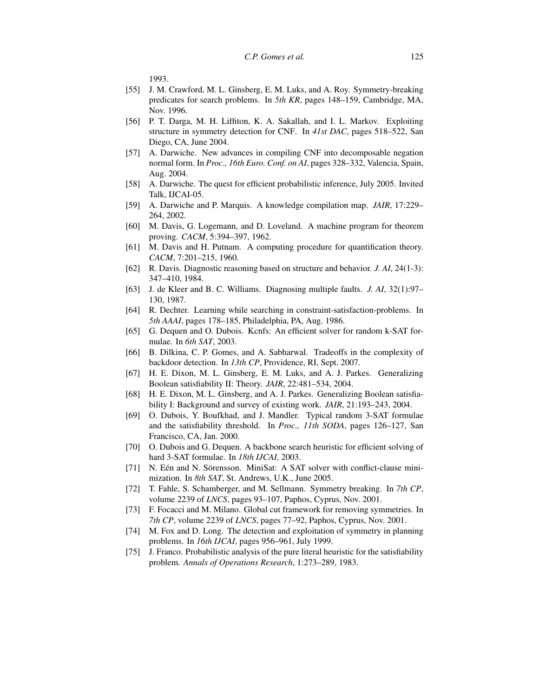1993.

- <span id="page-36-6"></span>[55] J. M. Crawford, M. L. Ginsberg, E. M. Luks, and A. Roy. Symmetry-breaking predicates for search problems. In *5th KR*, pages 148–159, Cambridge, MA, Nov. 1996.
- <span id="page-36-7"></span>[56] P. T. Darga, M. H. Liffiton, K. A. Sakallah, and I. L. Markov. Exploiting structure in symmetry detection for CNF. In *41st DAC*, pages 518–522, San Diego, CA, June 2004.
- <span id="page-36-19"></span>[57] A. Darwiche. New advances in compiling CNF into decomposable negation normal form. In *Proc., 16th Euro. Conf. on AI*, pages 328–332, Valencia, Spain, Aug. 2004.
- <span id="page-36-18"></span>[58] A. Darwiche. The quest for efficient probabilistic inference, July 2005. Invited Talk, IJCAI-05.
- <span id="page-36-20"></span>[59] A. Darwiche and P. Marquis. A knowledge compilation map. *JAIR*, 17:229– 264, 2002.
- <span id="page-36-2"></span>[60] M. Davis, G. Logemann, and D. Loveland. A machine program for theorem proving. *CACM*, 5:394–397, 1962.
- <span id="page-36-1"></span>[61] M. Davis and H. Putnam. A computing procedure for quantification theory. *CACM*, 7:201–215, 1960.
- <span id="page-36-3"></span>[62] R. Davis. Diagnostic reasoning based on structure and behavior. *J. AI*, 24(1-3): 347–410, 1984.
- <span id="page-36-4"></span>[63] J. de Kleer and B. C. Williams. Diagnosing multiple faults. *J. AI*, 32(1):97– 130, 1987.
- <span id="page-36-5"></span>[64] R. Dechter. Learning while searching in constraint-satisfaction-problems. In *5th AAAI*, pages 178–185, Philadelphia, PA, Aug. 1986.
- <span id="page-36-16"></span>[65] G. Dequen and O. Dubois. Kcnfs: An efficient solver for random k-SAT formulae. In *6th SAT*, 2003.
- <span id="page-36-15"></span>[66] B. Dilkina, C. P. Gomes, and A. Sabharwal. Tradeoffs in the complexity of backdoor detection. In *13th CP*, Providence, RI, Sept. 2007.
- <span id="page-36-12"></span>[67] H. E. Dixon, M. L. Ginsberg, E. M. Luks, and A. J. Parkes. Generalizing Boolean satisfiability II: Theory. *JAIR*, 22:481–534, 2004.
- <span id="page-36-8"></span>[68] H. E. Dixon, M. L. Ginsberg, and A. J. Parkes. Generalizing Boolean satisfiability I: Background and survey of existing work. *JAIR*, 21:193–243, 2004.
- <span id="page-36-13"></span>[69] O. Dubois, Y. Boufkhad, and J. Mandler. Typical random 3-SAT formulae and the satisfiability threshold. In *Proc., 11th SODA*, pages 126–127, San Francisco, CA, Jan. 2000.
- <span id="page-36-17"></span>[70] O. Dubois and G. Dequen. A backbone search heuristic for efficient solving of hard 3-SAT formulae. In *18th IJCAI*, 2003.
- <span id="page-36-0"></span>[71] N. Eén and N. Sörensson. MiniSat: A SAT solver with conflict-clause minimization. In *8th SAT*, St. Andrews, U.K., June 2005.
- <span id="page-36-9"></span>[72] T. Fahle, S. Schamberger, and M. Sellmann. Symmetry breaking. In *7th CP*, volume 2239 of *LNCS*, pages 93–107, Paphos, Cyprus, Nov. 2001.
- <span id="page-36-10"></span>[73] F. Focacci and M. Milano. Global cut framework for removing symmetries. In *7th CP*, volume 2239 of *LNCS*, pages 77–92, Paphos, Cyprus, Nov. 2001.
- <span id="page-36-11"></span>[74] M. Fox and D. Long. The detection and exploitation of symmetry in planning problems. In *16th IJCAI*, pages 956–961, July 1999.
- <span id="page-36-14"></span>[75] J. Franco. Probabilistic analysis of the pure literal heuristic for the satisfiability problem. *Annals of Operations Research*, 1:273–289, 1983.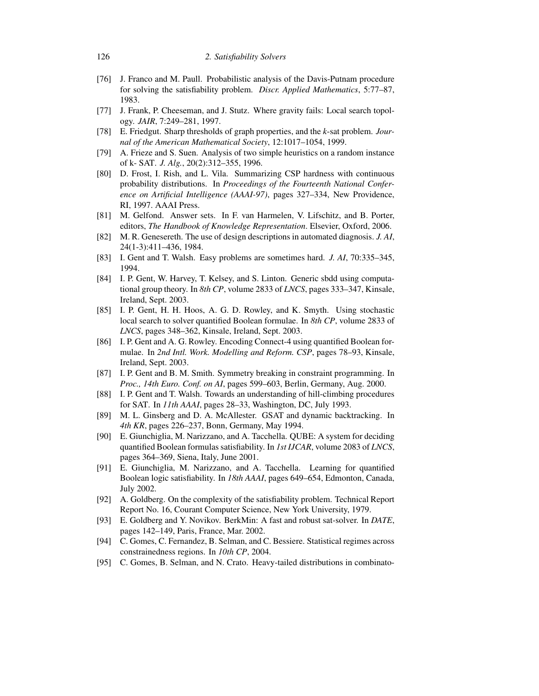- <span id="page-37-8"></span>[76] J. Franco and M. Paull. Probabilistic analysis of the Davis-Putnam procedure for solving the satisfiability problem. *Discr. Applied Mathematics*, 5:77–87, 1983.
- <span id="page-37-5"></span>[77] J. Frank, P. Cheeseman, and J. Stutz. Where gravity fails: Local search topology. *JAIR*, 7:249–281, 1997.
- <span id="page-37-10"></span>[78] E. Friedgut. Sharp thresholds of graph properties, and the *k*-sat problem. *Journal of the American Mathematical Society*, 12:1017–1054, 1999.
- <span id="page-37-11"></span>[79] A. Frieze and S. Suen. Analysis of two simple heuristics on a random instance of k- SAT. *J. Alg.*, 20(2):312–355, 1996.
- <span id="page-37-14"></span>[80] D. Frost, I. Rish, and L. Vila. Summarizing CSP hardness with continuous probability distributions. In *Proceedings of the Fourteenth National Conference on Artificial Intelligence (AAAI-97)*, pages 327–334, New Providence, RI, 1997. AAAI Press.
- <span id="page-37-1"></span>[81] M. Gelfond. Answer sets. In F. van Harmelen, V. Lifschitz, and B. Porter, editors, *The Handbook of Knowledge Representation*. Elsevier, Oxford, 2006.
- <span id="page-37-2"></span>[82] M. R. Genesereth. The use of design descriptions in automated diagnosis. *J. AI*, 24(1-3):411–436, 1984.
- <span id="page-37-12"></span>[83] I. Gent and T. Walsh. Easy problems are sometimes hard. *J. AI*, 70:335–345, 1994.
- <span id="page-37-3"></span>[84] I. P. Gent, W. Harvey, T. Kelsey, and S. Linton. Generic sbdd using computational group theory. In *8th CP*, volume 2833 of *LNCS*, pages 333–347, Kinsale, Ireland, Sept. 2003.
- <span id="page-37-18"></span>[85] I. P. Gent, H. H. Hoos, A. G. D. Rowley, and K. Smyth. Using stochastic local search to solver quantified Boolean formulae. In *8th CP*, volume 2833 of *LNCS*, pages 348–362, Kinsale, Ireland, Sept. 2003.
- <span id="page-37-16"></span>[86] I. P. Gent and A. G. Rowley. Encoding Connect-4 using quantified Boolean formulae. In *2nd Intl. Work. Modelling and Reform. CSP*, pages 78–93, Kinsale, Ireland, Sept. 2003.
- <span id="page-37-4"></span>[87] I. P. Gent and B. M. Smith. Symmetry breaking in constraint programming. In *Proc., 14th Euro. Conf. on AI*, pages 599–603, Berlin, Germany, Aug. 2000.
- <span id="page-37-6"></span>[88] I. P. Gent and T. Walsh. Towards an understanding of hill-climbing procedures for SAT. In *11th AAAI*, pages 28–33, Washington, DC, July 1993.
- <span id="page-37-7"></span>[89] M. L. Ginsberg and D. A. McAllester. GSAT and dynamic backtracking. In *4th KR*, pages 226–237, Bonn, Germany, May 1994.
- <span id="page-37-17"></span>[90] E. Giunchiglia, M. Narizzano, and A. Tacchella. QUBE: A system for deciding quantified Boolean formulas satisfiability. In *1st IJCAR*, volume 2083 of *LNCS*, pages 364–369, Siena, Italy, June 2001.
- <span id="page-37-19"></span>[91] E. Giunchiglia, M. Narizzano, and A. Tacchella. Learning for quantified Boolean logic satisfiability. In *18th AAAI*, pages 649–654, Edmonton, Canada, July 2002.
- <span id="page-37-9"></span>[92] A. Goldberg. On the complexity of the satisfiability problem. Technical Report Report No. 16, Courant Computer Science, New York University, 1979.
- <span id="page-37-0"></span>[93] E. Goldberg and Y. Novikov. BerkMin: A fast and robust sat-solver. In *DATE*, pages 142–149, Paris, France, Mar. 2002.
- <span id="page-37-15"></span>[94] C. Gomes, C. Fernandez, B. Selman, and C. Bessiere. Statistical regimes across constrainedness regions. In *10th CP*, 2004.
- <span id="page-37-13"></span>[95] C. Gomes, B. Selman, and N. Crato. Heavy-tailed distributions in combinato-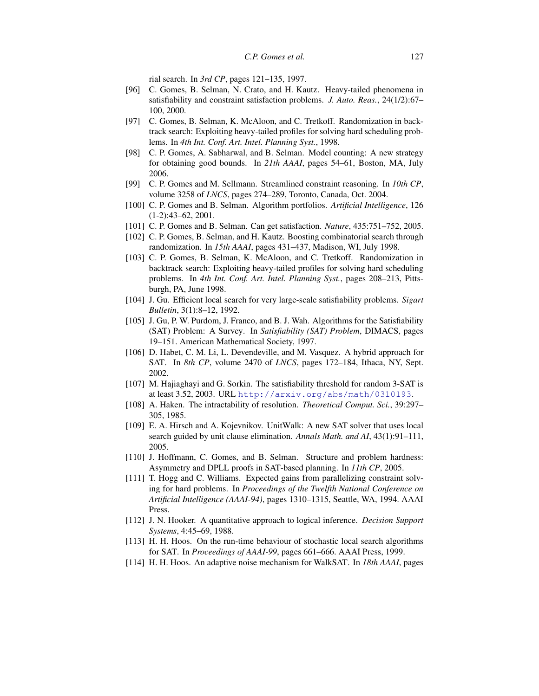rial search. In *3rd CP*, pages 121–135, 1997.

- <span id="page-38-15"></span>[96] C. Gomes, B. Selman, N. Crato, and H. Kautz. Heavy-tailed phenomena in satisfiability and constraint satisfaction problems. *J. Auto. Reas.*, 24(1/2):67– 100, 2000.
- <span id="page-38-13"></span>[97] C. Gomes, B. Selman, K. McAloon, and C. Tretkoff. Randomization in backtrack search: Exploiting heavy-tailed profiles for solving hard scheduling problems. In *4th Int. Conf. Art. Intel. Planning Syst.*, 1998.
- <span id="page-38-17"></span>[98] C. P. Gomes, A. Sabharwal, and B. Selman. Model counting: A new strategy for obtaining good bounds. In *21th AAAI*, pages 54–61, Boston, MA, July 2006.
- <span id="page-38-18"></span>[99] C. P. Gomes and M. Sellmann. Streamlined constraint reasoning. In *10th CP*, volume 3258 of *LNCS*, pages 274–289, Toronto, Canada, Oct. 2004.
- <span id="page-38-16"></span>[100] C. P. Gomes and B. Selman. Algorithm portfolios. *Artificial Intelligence*, 126 (1-2):43–62, 2001.
- <span id="page-38-11"></span>[101] C. P. Gomes and B. Selman. Can get satisfaction. *Nature*, 435:751–752, 2005.
- <span id="page-38-2"></span>[102] C. P. Gomes, B. Selman, and H. Kautz. Boosting combinatorial search through randomization. In *15th AAAI*, pages 431–437, Madison, WI, July 1998.
- <span id="page-38-0"></span>[103] C. P. Gomes, B. Selman, K. McAloon, and C. Tretkoff. Randomization in backtrack search: Exploiting heavy-tailed profiles for solving hard scheduling problems. In *4th Int. Conf. Art. Intel. Planning Syst.*, pages 208–213, Pittsburgh, PA, June 1998.
- <span id="page-38-4"></span>[104] J. Gu. Efficient local search for very large-scale satisfiability problems. *Sigart Bulletin*, 3(1):8–12, 1992.
- <span id="page-38-5"></span>[105] J. Gu, P. W. Purdom, J. Franco, and B. J. Wah. Algorithms for the Satisfiability (SAT) Problem: A Survey. In *Satisfiability (SAT) Problem*, DIMACS, pages 19–151. American Mathematical Society, 1997.
- <span id="page-38-8"></span>[106] D. Habet, C. M. Li, L. Devendeville, and M. Vasquez. A hybrid approach for SAT. In *8th CP*, volume 2470 of *LNCS*, pages 172–184, Ithaca, NY, Sept. 2002.
- <span id="page-38-10"></span>[107] M. Hajiaghayi and G. Sorkin. The satisfiability threshold for random 3-SAT is at least 3.52, 2003. URL <http://arxiv.org/abs/math/0310193>.
- <span id="page-38-3"></span>[108] A. Haken. The intractability of resolution. *Theoretical Comput. Sci.*, 39:297– 305, 1985.
- <span id="page-38-1"></span>[109] E. A. Hirsch and A. Kojevnikov. UnitWalk: A new SAT solver that uses local search guided by unit clause elimination. *Annals Math. and AI*, 43(1):91–111, 2005.
- <span id="page-38-14"></span>[110] J. Hoffmann, C. Gomes, and B. Selman. Structure and problem hardness: Asymmetry and DPLL proofs in SAT-based planning. In *11th CP*, 2005.
- <span id="page-38-12"></span>[111] T. Hogg and C. Williams. Expected gains from parallelizing constraint solving for hard problems. In *Proceedings of the Twelfth National Conference on Artificial Intelligence (AAAI-94)*, pages 1310–1315, Seattle, WA, 1994. AAAI Press.
- <span id="page-38-9"></span>[112] J. N. Hooker. A quantitative approach to logical inference. *Decision Support Systems*, 4:45–69, 1988.
- <span id="page-38-6"></span>[113] H. H. Hoos. On the run-time behaviour of stochastic local search algorithms for SAT. In *Proceedings of AAAI-99*, pages 661–666. AAAI Press, 1999.
- <span id="page-38-7"></span>[114] H. H. Hoos. An adaptive noise mechanism for WalkSAT. In *18th AAAI*, pages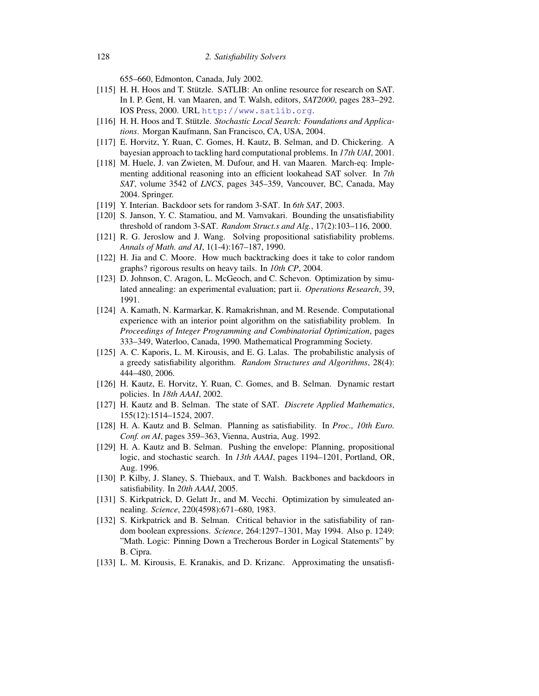655–660, Edmonton, Canada, July 2002.

- <span id="page-39-2"></span>[115] H. H. Hoos and T. Stützle. SATLIB: An online resource for research on SAT. In I. P. Gent, H. van Maaren, and T. Walsh, editors, *SAT2000*, pages 283–292. IOS Press, 2000. URL <http://www.satlib.org>.
- <span id="page-39-6"></span>[116] H. H. Hoos and T. Stützle. Stochastic Local Search: Foundations and Applica*tions*. Morgan Kaufmann, San Francisco, CA, USA, 2004.
- <span id="page-39-17"></span>[117] E. Horvitz, Y. Ruan, C. Gomes, H. Kautz, B. Selman, and D. Chickering. A bayesian approach to tackling hard computational problems. In *17th UAI*, 2001.
- <span id="page-39-1"></span>[118] M. Huele, J. van Zwieten, M. Dufour, and H. van Maaren. March-eq: Implementing additional reasoning into an efficient lookahead SAT solver. In *7th SAT*, volume 3542 of *LNCS*, pages 345–359, Vancouver, BC, Canada, May 2004. Springer.
- <span id="page-39-15"></span>[119] Y. Interian. Backdoor sets for random 3-SAT. In *6th SAT*, 2003.
- <span id="page-39-11"></span>[120] S. Janson, Y. C. Stamatiou, and M. Vamvakari. Bounding the unsatisfiability threshold of random 3-SAT. *Random Struct.s and Alg.*, 17(2):103–116, 2000.
- <span id="page-39-5"></span>[121] R. G. Jeroslow and J. Wang. Solving propositional satisfiability problems. *Annals of Math. and AI*, 1(1-4):167–187, 1990.
- <span id="page-39-14"></span>[122] H. Jia and C. Moore. How much backtracking does it take to color random graphs? rigorous results on heavy tails. In *10th CP*, 2004.
- <span id="page-39-9"></span>[123] D. Johnson, C. Aragon, L. McGeoch, and C. Schevon. Optimization by simulated annealing: an experimental evaluation; part ii. *Operations Research*, 39, 1991.
- <span id="page-39-8"></span>[124] A. Kamath, N. Karmarkar, K. Ramakrishnan, and M. Resende. Computational experience with an interior point algorithm on the satisfiability problem. In *Proceedings of Integer Programming and Combinatorial Optimization*, pages 333–349, Waterloo, Canada, 1990. Mathematical Programming Society.
- <span id="page-39-13"></span>[125] A. C. Kaporis, L. M. Kirousis, and E. G. Lalas. The probabilistic analysis of a greedy satisfiability algorithm. *Random Structures and Algorithms*, 28(4): 444–480, 2006.
- <span id="page-39-18"></span>[126] H. Kautz, E. Horvitz, Y. Ruan, C. Gomes, and B. Selman. Dynamic restart policies. In *18th AAAI*, 2002.
- <span id="page-39-4"></span>[127] H. Kautz and B. Selman. The state of SAT. *Discrete Applied Mathematics*, 155(12):1514–1524, 2007.
- <span id="page-39-3"></span>[128] H. A. Kautz and B. Selman. Planning as satisfiability. In *Proc., 10th Euro. Conf. on AI*, pages 359–363, Vienna, Austria, Aug. 1992.
- <span id="page-39-0"></span>[129] H. A. Kautz and B. Selman. Pushing the envelope: Planning, propositional logic, and stochastic search. In *13th AAAI*, pages 1194–1201, Portland, OR, Aug. 1996.
- <span id="page-39-16"></span>[130] P. Kilby, J. Slaney, S. Thiebaux, and T. Walsh. Backbones and backdoors in satisfiability. In *20th AAAI*, 2005.
- <span id="page-39-10"></span>[131] S. Kirkpatrick, D. Gelatt Jr., and M. Vecchi. Optimization by simuleated annealing. *Science*, 220(4598):671–680, 1983.
- <span id="page-39-7"></span>[132] S. Kirkpatrick and B. Selman. Critical behavior in the satisfiability of random boolean expressions. *Science*, 264:1297–1301, May 1994. Also p. 1249: "Math. Logic: Pinning Down a Trecherous Border in Logical Statements" by B. Cipra.
- <span id="page-39-12"></span>[133] L. M. Kirousis, E. Kranakis, and D. Krizanc. Approximating the unsatisfi-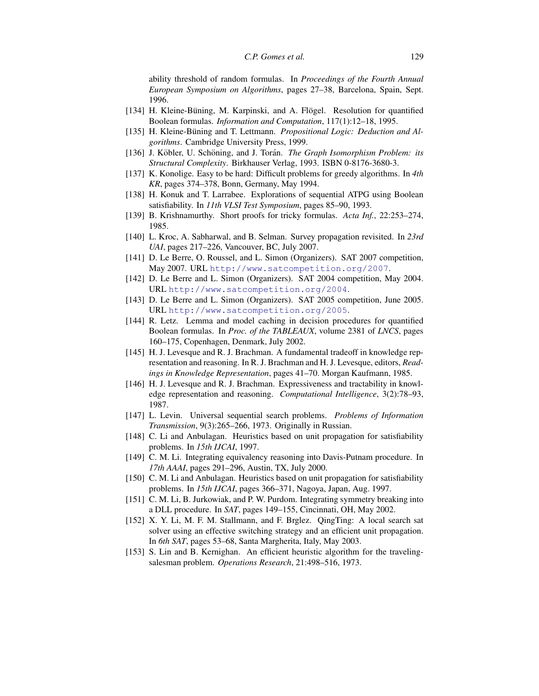ability threshold of random formulas. In *Proceedings of the Fourth Annual European Symposium on Algorithms*, pages 27–38, Barcelona, Spain, Sept. 1996.

- <span id="page-40-18"></span>[134] H. Kleine-Büning, M. Karpinski, and A. Flögel. Resolution for quantified Boolean formulas. *Information and Computation*, 117(1):12–18, 1995.
- <span id="page-40-16"></span>[135] H. Kleine-Büning and T. Lettmann. *Propositional Logic: Deduction and Algorithms*. Cambridge University Press, 1999.
- <span id="page-40-9"></span>[136] J. Köbler, U. Schöning, and J. Torán. *The Graph Isomorphism Problem: its Structural Complexity*. Birkhauser Verlag, 1993. ISBN 0-8176-3680-3.
- <span id="page-40-12"></span>[137] K. Konolige. Easy to be hard: Difficult problems for greedy algorithms. In *4th KR*, pages 374–378, Bonn, Germany, May 1994.
- <span id="page-40-0"></span>[138] H. Konuk and T. Larrabee. Explorations of sequential ATPG using Boolean satisfiability. In *11th VLSI Test Symposium*, pages 85–90, 1993.
- <span id="page-40-11"></span>[139] B. Krishnamurthy. Short proofs for tricky formulas. *Acta Inf.*, 22:253–274, 1985.
- <span id="page-40-14"></span>[140] L. Kroc, A. Sabharwal, and B. Selman. Survey propagation revisited. In *23rd UAI*, pages 217–226, Vancouver, BC, July 2007.
- <span id="page-40-6"></span>[141] D. Le Berre, O. Roussel, and L. Simon (Organizers). SAT 2007 competition, May 2007. URL <http://www.satcompetition.org/2007>.
- [142] D. Le Berre and L. Simon (Organizers). SAT 2004 competition, May 2004. URL <http://www.satcompetition.org/2004>.
- <span id="page-40-7"></span>[143] D. Le Berre and L. Simon (Organizers). SAT 2005 competition, June 2005. URL <http://www.satcompetition.org/2005>.
- <span id="page-40-17"></span>[144] R. Letz. Lemma and model caching in decision procedures for quantified Boolean formulas. In *Proc. of the TABLEAUX*, volume 2381 of *LNCS*, pages 160–175, Copenhagen, Denmark, July 2002.
- <span id="page-40-4"></span>[145] H. J. Levesque and R. J. Brachman. A fundamental tradeoff in knowledge representation and reasoning. In R. J. Brachman and H. J. Levesque, editors, *Readings in Knowledge Representation*, pages 41–70. Morgan Kaufmann, 1985.
- <span id="page-40-5"></span>[146] H. J. Levesque and R. J. Brachman. Expressiveness and tractability in knowledge representation and reasoning. *Computational Intelligence*, 3(2):78–93, 1987.
- <span id="page-40-8"></span>[147] L. Levin. Universal sequential search problems. *Problems of Information Transmission*, 9(3):265–266, 1973. Originally in Russian.
- <span id="page-40-15"></span>[148] C. Li and Anbulagan. Heuristics based on unit propagation for satisfiability problems. In *15th IJCAI*, 1997.
- <span id="page-40-3"></span>[149] C. M. Li. Integrating equivalency reasoning into Davis-Putnam procedure. In *17th AAAI*, pages 291–296, Austin, TX, July 2000.
- <span id="page-40-1"></span>[150] C. M. Li and Anbulagan. Heuristics based on unit propagation for satisfiability problems. In *15th IJCAI*, pages 366–371, Nagoya, Japan, Aug. 1997.
- <span id="page-40-10"></span>[151] C. M. Li, B. Jurkowiak, and P. W. Purdom. Integrating symmetry breaking into a DLL procedure. In *SAT*, pages 149–155, Cincinnati, OH, May 2002.
- <span id="page-40-2"></span>[152] X. Y. Li, M. F. M. Stallmann, and F. Brglez. QingTing: A local search sat solver using an effective switching strategy and an efficient unit propagation. In *6th SAT*, pages 53–68, Santa Margherita, Italy, May 2003.
- <span id="page-40-13"></span>[153] S. Lin and B. Kernighan. An efficient heuristic algorithm for the travelingsalesman problem. *Operations Research*, 21:498–516, 1973.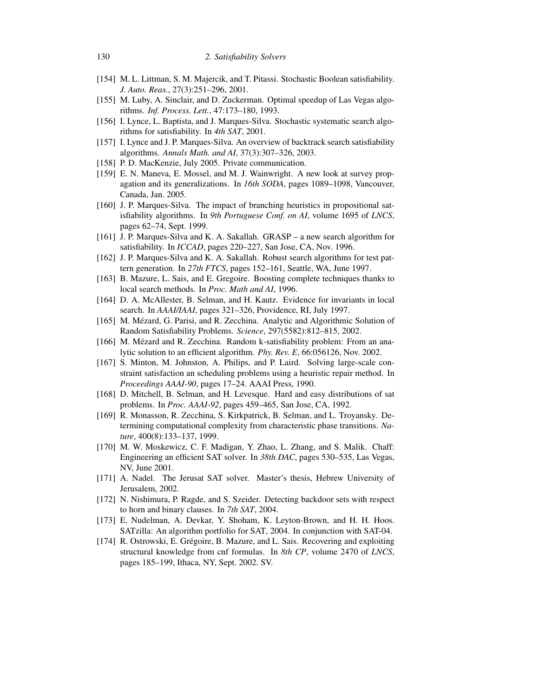- <span id="page-41-20"></span>[154] M. L. Littman, S. M. Majercik, and T. Pitassi. Stochastic Boolean satisfiability. *J. Auto. Reas.*, 27(3):251–296, 2001.
- <span id="page-41-18"></span>[155] M. Luby, A. Sinclair, and D. Zuckerman. Optimal speedup of Las Vegas algorithms. *Inf. Process. Lett.*, 47:173–180, 1993.
- <span id="page-41-19"></span>[156] I. Lynce, L. Baptista, and J. Marques-Silva. Stochastic systematic search algorithms for satisfiability. In *4th SAT*, 2001.
- <span id="page-41-8"></span>[157] I. Lynce and J. P. Marques-Silva. An overview of backtrack search satisfiability algorithms. *Annals Math. and AI*, 37(3):307–326, 2003.
- <span id="page-41-9"></span>[158] P. D. MacKenzie, July 2005. Private communication.
- <span id="page-41-15"></span>[159] E. N. Maneva, E. Mossel, and M. J. Wainwright. A new look at survey propagation and its generalizations. In *16th SODA*, pages 1089–1098, Vancouver, Canada, Jan. 2005.
- <span id="page-41-7"></span>[160] J. P. Marques-Silva. The impact of branching heuristics in propositional satisfiability algorithms. In *9th Portuguese Conf. on AI*, volume 1695 of *LNCS*, pages 62–74, Sept. 1999.
- <span id="page-41-0"></span>[161] J. P. Marques-Silva and K. A. Sakallah. GRASP – a new search algorithm for satisfiability. In *ICCAD*, pages 220–227, San Jose, CA, Nov. 1996.
- <span id="page-41-10"></span>[162] J. P. Marques-Silva and K. A. Sakallah. Robust search algorithms for test pattern generation. In *27th FTCS*, pages 152–161, Seattle, WA, June 1997.
- <span id="page-41-12"></span>[163] B. Mazure, L. Sais, and E. Gregoire. Boosting complete techniques thanks to local search methods. In *Proc. Math and AI*, 1996.
- <span id="page-41-11"></span>[164] D. A. McAllester, B. Selman, and H. Kautz. Evidence for invariants in local search. In *AAAI/IAAI*, pages 321–326, Providence, RI, July 1997.
- <span id="page-41-1"></span>[165] M. Mézard, G. Parisi, and R. Zecchina. Analytic and Algorithmic Solution of Random Satisfiability Problems. *Science*, 297(5582):812–815, 2002.
- <span id="page-41-16"></span>[166] M. Mézard and R. Zecchina. Random k-satisfiability problem: From an analytic solution to an efficient algorithm. *Phy. Rev. E*, 66:056126, Nov. 2002.
- <span id="page-41-13"></span>[167] S. Minton, M. Johnston, A. Philips, and P. Laird. Solving large-scale constraint satisfaction an scheduling problems using a heuristic repair method. In *Proceedings AAAI-90*, pages 17–24. AAAI Press, 1990.
- <span id="page-41-6"></span>[168] D. Mitchell, B. Selman, and H. Levesque. Hard and easy distributions of sat problems. In *Proc. AAAI-92*, pages 459–465, San Jose, CA, 1992.
- <span id="page-41-14"></span>[169] R. Monasson, R. Zecchina, S. Kirkpatrick, B. Selman, and L. Troyansky. Determining computational complexity from characteristic phase transitions. *Nature*, 400(8):133–137, 1999.
- <span id="page-41-2"></span>[170] M. W. Moskewicz, C. F. Madigan, Y. Zhao, L. Zhang, and S. Malik. Chaff: Engineering an efficient SAT solver. In *38th DAC*, pages 530–535, Las Vegas, NV, June 2001.
- <span id="page-41-3"></span>[171] A. Nadel. The Jerusat SAT solver. Master's thesis, Hebrew University of Jerusalem, 2002.
- <span id="page-41-17"></span>[172] N. Nishimura, P. Ragde, and S. Szeider. Detecting backdoor sets with respect to horn and binary clauses. In *7th SAT*, 2004.
- <span id="page-41-4"></span>[173] E. Nudelman, A. Devkar, Y. Shoham, K. Leyton-Brown, and H. H. Hoos. SATzilla: An algorithm portfolio for SAT, 2004. In conjunction with SAT-04.
- <span id="page-41-5"></span>[174] R. Ostrowski, E. Grégoire, B. Mazure, and L. Sais. Recovering and exploiting structural knowledge from cnf formulas. In *8th CP*, volume 2470 of *LNCS*, pages 185–199, Ithaca, NY, Sept. 2002. SV.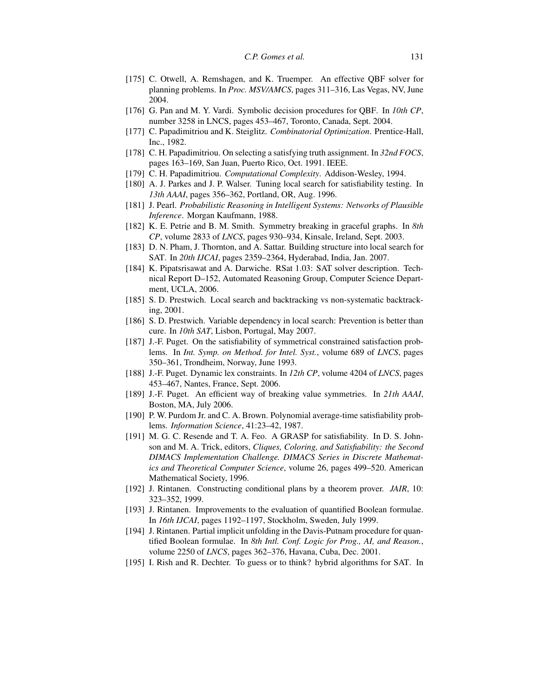- <span id="page-42-18"></span>[175] C. Otwell, A. Remshagen, and K. Truemper. An effective OBF solver for planning problems. In *Proc. MSV/AMCS*, pages 311–316, Las Vegas, NV, June 2004.
- <span id="page-42-19"></span>[176] G. Pan and M. Y. Vardi. Symbolic decision procedures for QBF. In *10th CP*, number 3258 in LNCS, pages 453–467, Toronto, Canada, Sept. 2004.
- <span id="page-42-10"></span>[177] C. Papadimitriou and K. Steiglitz. *Combinatorial Optimization*. Prentice-Hall, Inc., 1982.
- <span id="page-42-11"></span>[178] C. H. Papadimitriou. On selecting a satisfying truth assignment. In *32nd FOCS*, pages 163–169, San Juan, Puerto Rico, Oct. 1991. IEEE.
- [179] C. H. Papadimitriou. *Computational Complexity*. Addison-Wesley, 1994.
- <span id="page-42-20"></span><span id="page-42-5"></span>[180] A. J. Parkes and J. P. Walser. Tuning local search for satisfiability testing. In *13th AAAI*, pages 356–362, Portland, OR, Aug. 1996.
- <span id="page-42-14"></span>[181] J. Pearl. *Probabilistic Reasoning in Intelligent Systems: Networks of Plausible Inference*. Morgan Kaufmann, 1988.
- <span id="page-42-2"></span>[182] K. E. Petrie and B. M. Smith. Symmetry breaking in graceful graphs. In *8th CP*, volume 2833 of *LNCS*, pages 930–934, Kinsale, Ireland, Sept. 2003.
- <span id="page-42-6"></span>[183] D. N. Pham, J. Thornton, and A. Sattar. Building structure into local search for SAT. In *20th IJCAI*, pages 2359–2364, Hyderabad, India, Jan. 2007.
- <span id="page-42-0"></span>[184] K. Pipatsrisawat and A. Darwiche. RSat 1.03: SAT solver description. Technical Report D–152, Automated Reasoning Group, Computer Science Department, UCLA, 2006.
- <span id="page-42-8"></span>[185] S. D. Prestwich. Local search and backtracking vs non-systematic backtracking, 2001.
- <span id="page-42-12"></span>[186] S. D. Prestwich. Variable dependency in local search: Prevention is better than cure. In *10th SAT*, Lisbon, Portugal, May 2007.
- <span id="page-42-1"></span>[187] J.-F. Puget. On the satisfiability of symmetrical constrained satisfaction problems. In *Int. Symp. on Method. for Intel. Syst.*, volume 689 of *LNCS*, pages 350–361, Trondheim, Norway, June 1993.
- <span id="page-42-4"></span>[188] J.-F. Puget. Dynamic lex constraints. In *12th CP*, volume 4204 of *LNCS*, pages 453–467, Nantes, France, Sept. 2006.
- <span id="page-42-3"></span>[189] J.-F. Puget. An efficient way of breaking value symmetries. In *21th AAAI*, Boston, MA, July 2006.
- <span id="page-42-13"></span>[190] P. W. Purdom Jr. and C. A. Brown. Polynomial average-time satisfiability problems. *Information Science*, 41:23–42, 1987.
- <span id="page-42-7"></span>[191] M. G. C. Resende and T. A. Feo. A GRASP for satisfiability. In D. S. Johnson and M. A. Trick, editors, *Cliques, Coloring, and Satisfiability: the Second DIMACS Implementation Challenge. DIMACS Series in Discrete Mathematics and Theoretical Computer Science*, volume 26, pages 499–520. American Mathematical Society, 1996.
- <span id="page-42-15"></span>[192] J. Rintanen. Constructing conditional plans by a theorem prover. *JAIR*, 10: 323–352, 1999.
- <span id="page-42-17"></span>[193] J. Rintanen. Improvements to the evaluation of quantified Boolean formulae. In *16th IJCAI*, pages 1192–1197, Stockholm, Sweden, July 1999.
- <span id="page-42-16"></span>[194] J. Rintanen. Partial implicit unfolding in the Davis-Putnam procedure for quantified Boolean formulae. In *8th Intl. Conf. Logic for Prog., AI, and Reason.*, volume 2250 of *LNCS*, pages 362–376, Havana, Cuba, Dec. 2001.
- <span id="page-42-9"></span>[195] I. Rish and R. Dechter. To guess or to think? hybrid algorithms for SAT. In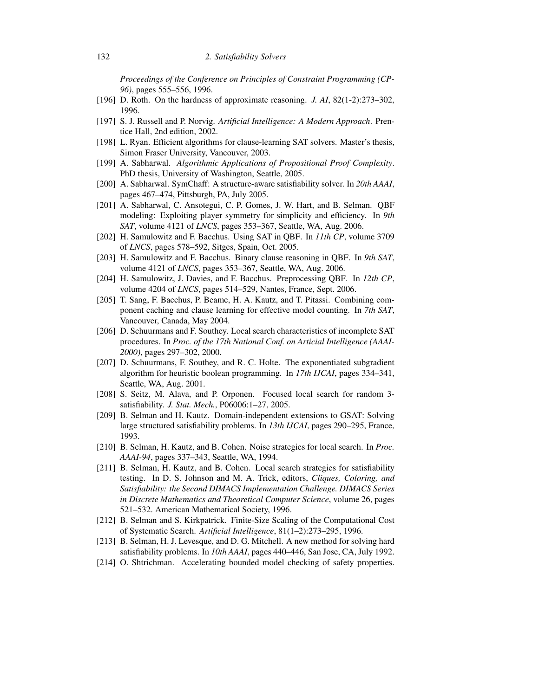*Proceedings of the Conference on Principles of Constraint Programming (CP-96)*, pages 555–556, 1996.

- <span id="page-43-17"></span>[196] D. Roth. On the hardness of approximate reasoning. *J. AI*, 82(1-2):273–302, 1996.
- <span id="page-43-0"></span>[197] S. J. Russell and P. Norvig. *Artificial Intelligence: A Modern Approach*. Prentice Hall, 2nd edition, 2002.
- <span id="page-43-1"></span>[198] L. Ryan. Efficient algorithms for clause-learning SAT solvers. Master's thesis, Simon Fraser University, Vancouver, 2003.
- <span id="page-43-4"></span>[199] A. Sabharwal. *Algorithmic Applications of Propositional Proof Complexity*. PhD thesis, University of Washington, Seattle, 2005.
- <span id="page-43-6"></span>[200] A. Sabharwal. SymChaff: A structure-aware satisfiability solver. In *20th AAAI*, pages 467–474, Pittsburgh, PA, July 2005.
- <span id="page-43-16"></span>[201] A. Sabharwal, C. Ansotegui, C. P. Gomes, J. W. Hart, and B. Selman. QBF modeling: Exploiting player symmetry for simplicity and efficiency. In *9th SAT*, volume 4121 of *LNCS*, pages 353–367, Seattle, WA, Aug. 2006.
- <span id="page-43-13"></span>[202] H. Samulowitz and F. Bacchus. Using SAT in QBF. In *11th CP*, volume 3709 of *LNCS*, pages 578–592, Sitges, Spain, Oct. 2005.
- <span id="page-43-15"></span>[203] H. Samulowitz and F. Bacchus. Binary clause reasoning in QBF. In *9th SAT*, volume 4121 of *LNCS*, pages 353–367, Seattle, WA, Aug. 2006.
- <span id="page-43-14"></span>[204] H. Samulowitz, J. Davies, and F. Bacchus. Preprocessing QBF. In *12th CP*, volume 4204 of *LNCS*, pages 514–529, Nantes, France, Sept. 2006.
- <span id="page-43-18"></span>[205] T. Sang, F. Bacchus, P. Beame, H. A. Kautz, and T. Pitassi. Combining component caching and clause learning for effective model counting. In *7th SAT*, Vancouver, Canada, May 2004.
- <span id="page-43-7"></span>[206] D. Schuurmans and F. Southey. Local search characteristics of incomplete SAT procedures. In *Proc. of the 17th National Conf. on Articial Intelligence (AAAI-2000)*, pages 297–302, 2000.
- <span id="page-43-8"></span>[207] D. Schuurmans, F. Southey, and R. C. Holte. The exponentiated subgradient algorithm for heuristic boolean programming. In *17th IJCAI*, pages 334–341, Seattle, WA, Aug. 2001.
- <span id="page-43-11"></span>[208] S. Seitz, M. Alava, and P. Orponen. Focused local search for random 3 satisfiability. *J. Stat. Mech.*, P06006:1–27, 2005.
- <span id="page-43-9"></span>[209] B. Selman and H. Kautz. Domain-independent extensions to GSAT: Solving large structured satisfiability problems. In *13th IJCAI*, pages 290–295, France, 1993.
- <span id="page-43-10"></span>[210] B. Selman, H. Kautz, and B. Cohen. Noise strategies for local search. In *Proc. AAAI-94*, pages 337–343, Seattle, WA, 1994.
- <span id="page-43-2"></span>[211] B. Selman, H. Kautz, and B. Cohen. Local search strategies for satisfiability testing. In D. S. Johnson and M. A. Trick, editors, *Cliques, Coloring, and Satisfiability: the Second DIMACS Implementation Challenge. DIMACS Series in Discrete Mathematics and Theoretical Computer Science*, volume 26, pages 521–532. American Mathematical Society, 1996.
- <span id="page-43-12"></span>[212] B. Selman and S. Kirkpatrick. Finite-Size Scaling of the Computational Cost of Systematic Search. *Artificial Intelligence*, 81(1–2):273–295, 1996.
- <span id="page-43-3"></span>[213] B. Selman, H. J. Levesque, and D. G. Mitchell. A new method for solving hard satisfiability problems. In *10th AAAI*, pages 440–446, San Jose, CA, July 1992.
- <span id="page-43-5"></span>[214] O. Shtrichman. Accelerating bounded model checking of safety properties.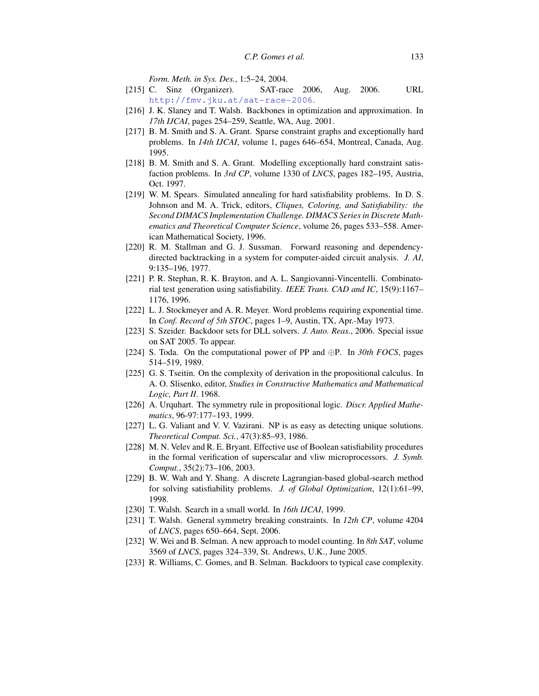*Form. Meth. in Sys. Des.*, 1:5–24, 2004.

- <span id="page-44-3"></span>[215] C. Sinz (Organizer). SAT-race 2006, Aug. 2006. URL <http://fmv.jku.at/sat-race-2006>.
- <span id="page-44-14"></span>[216] J. K. Slaney and T. Walsh. Backbones in optimization and approximation. In *17th IJCAI*, pages 254–259, Seattle, WA, Aug. 2001.
- <span id="page-44-10"></span>[217] B. M. Smith and S. A. Grant. Sparse constraint graphs and exceptionally hard problems. In *14th IJCAI*, volume 1, pages 646–654, Montreal, Canada, Aug. 1995.
- <span id="page-44-11"></span>[218] B. M. Smith and S. A. Grant. Modelling exceptionally hard constraint satisfaction problems. In *3rd CP*, volume 1330 of *LNCS*, pages 182–195, Austria, Oct. 1997.
- <span id="page-44-8"></span>[219] W. M. Spears. Simulated annealing for hard satisfiability problems. In D. S. Johnson and M. A. Trick, editors, *Cliques, Coloring, and Satisfiability: the Second DIMACS Implementation Challenge. DIMACS Seriesin Discrete Mathematics and Theoretical Computer Science*, volume 26, pages 533–558. American Mathematical Society, 1996.
- <span id="page-44-5"></span>[220] R. M. Stallman and G. J. Sussman. Forward reasoning and dependencydirected backtracking in a system for computer-aided circuit analysis. *J. AI*, 9:135–196, 1977.
- <span id="page-44-1"></span>[221] P. R. Stephan, R. K. Brayton, and A. L. Sangiovanni-Vincentelli. Combinatorial test generation using satisfiability. *IEEE Trans. CAD and IC*, 15(9):1167– 1176, 1996.
- <span id="page-44-15"></span>[222] L. J. Stockmeyer and A. R. Meyer. Word problems requiring exponential time. In *Conf. Record of 5th STOC*, pages 1–9, Austin, TX, Apr.-May 1973.
- <span id="page-44-13"></span>[223] S. Szeider. Backdoor sets for DLL solvers. *J. Auto. Reas.*, 2006. Special issue on SAT 2005. To appear.
- <span id="page-44-16"></span>[224] S. Toda. On the computational power of PP and ⊕P. In *30th FOCS*, pages 514–519, 1989.
- <span id="page-44-4"></span>[225] G. S. Tseitin. On the complexity of derivation in the propositional calculus. In A. O. Slisenko, editor, *Studies in Constructive Mathematics and Mathematical Logic, Part II*. 1968.
- <span id="page-44-7"></span>[226] A. Urquhart. The symmetry rule in propositional logic. *Discr. Applied Mathematics*, 96-97:177–193, 1999.
- <span id="page-44-18"></span>[227] L. G. Valiant and V. V. Vazirani. NP is as easy as detecting unique solutions. *Theoretical Comput. Sci.*, 47(3):85–93, 1986.
- <span id="page-44-0"></span>[228] M. N. Velev and R. E. Bryant. Effective use of Boolean satisfiability procedures in the formal verification of superscalar and vliw microprocessors. *J. Symb. Comput.*, 35(2):73–106, 2003.
- <span id="page-44-9"></span>[229] B. W. Wah and Y. Shang. A discrete Lagrangian-based global-search method for solving satisfiability problems. *J. of Global Optimization*, 12(1):61–99, 1998.
- <span id="page-44-12"></span>[230] T. Walsh. Search in a small world. In *16th IJCAI*, 1999.
- <span id="page-44-6"></span>[231] T. Walsh. General symmetry breaking constraints. In *12th CP*, volume 4204 of *LNCS*, pages 650–664, Sept. 2006.
- <span id="page-44-17"></span>[232] W. Wei and B. Selman. A new approach to model counting. In *8th SAT*, volume 3569 of *LNCS*, pages 324–339, St. Andrews, U.K., June 2005.
- <span id="page-44-2"></span>[233] R. Williams, C. Gomes, and B. Selman. Backdoors to typical case complexity.